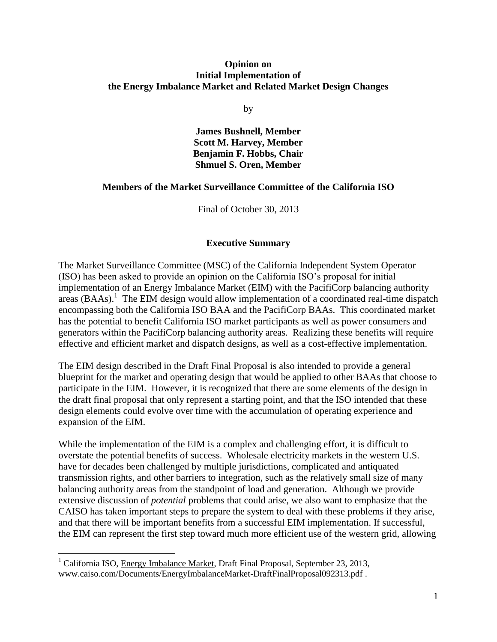#### **Opinion on Initial Implementation of the Energy Imbalance Market and Related Market Design Changes**

by

**James Bushnell, Member Scott M. Harvey, Member Benjamin F. Hobbs, Chair Shmuel S. Oren, Member**

#### **Members of the Market Surveillance Committee of the California ISO**

Final of October 30, 2013

#### **Executive Summary**

The Market Surveillance Committee (MSC) of the California Independent System Operator (ISO) has been asked to provide an opinion on the California ISO's proposal for initial implementation of an Energy Imbalance Market (EIM) with the PacifiCorp balancing authority  $\arccos (BAAs)$ <sup>1</sup>. The EIM design would allow implementation of a coordinated real-time dispatch encompassing both the California ISO BAA and the PacifiCorp BAAs. This coordinated market has the potential to benefit California ISO market participants as well as power consumers and generators within the PacifiCorp balancing authority areas. Realizing these benefits will require effective and efficient market and dispatch designs, as well as a cost-effective implementation.

The EIM design described in the Draft Final Proposal is also intended to provide a general blueprint for the market and operating design that would be applied to other BAAs that choose to participate in the EIM. However, it is recognized that there are some elements of the design in the draft final proposal that only represent a starting point, and that the ISO intended that these design elements could evolve over time with the accumulation of operating experience and expansion of the EIM.

While the implementation of the EIM is a complex and challenging effort, it is difficult to overstate the potential benefits of success. Wholesale electricity markets in the western U.S. have for decades been challenged by multiple jurisdictions, complicated and antiquated transmission rights, and other barriers to integration, such as the relatively small size of many balancing authority areas from the standpoint of load and generation. Although we provide extensive discussion of *potential* problems that could arise, we also want to emphasize that the CAISO has taken important steps to prepare the system to deal with these problems if they arise, and that there will be important benefits from a successful EIM implementation. If successful, the EIM can represent the first step toward much more efficient use of the western grid, allowing

<sup>1</sup> California ISO, Energy Imbalance Market, Draft Final Proposal, September 23, 2013, www.caiso.com/Documents/EnergyImbalanceMarket-DraftFinalProposal092313.pdf .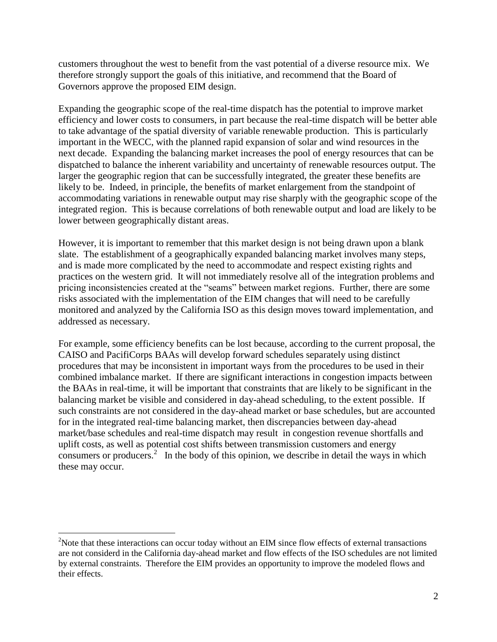customers throughout the west to benefit from the vast potential of a diverse resource mix. We therefore strongly support the goals of this initiative, and recommend that the Board of Governors approve the proposed EIM design.

Expanding the geographic scope of the real-time dispatch has the potential to improve market efficiency and lower costs to consumers, in part because the real-time dispatch will be better able to take advantage of the spatial diversity of variable renewable production. This is particularly important in the WECC, with the planned rapid expansion of solar and wind resources in the next decade. Expanding the balancing market increases the pool of energy resources that can be dispatched to balance the inherent variability and uncertainty of renewable resources output. The larger the geographic region that can be successfully integrated, the greater these benefits are likely to be. Indeed, in principle, the benefits of market enlargement from the standpoint of accommodating variations in renewable output may rise sharply with the geographic scope of the integrated region. This is because correlations of both renewable output and load are likely to be lower between geographically distant areas.

However, it is important to remember that this market design is not being drawn upon a blank slate. The establishment of a geographically expanded balancing market involves many steps, and is made more complicated by the need to accommodate and respect existing rights and practices on the western grid. It will not immediately resolve all of the integration problems and pricing inconsistencies created at the "seams" between market regions. Further, there are some risks associated with the implementation of the EIM changes that will need to be carefully monitored and analyzed by the California ISO as this design moves toward implementation, and addressed as necessary.

For example, some efficiency benefits can be lost because, according to the current proposal, the CAISO and PacifiCorps BAAs will develop forward schedules separately using distinct procedures that may be inconsistent in important ways from the procedures to be used in their combined imbalance market. If there are significant interactions in congestion impacts between the BAAs in real-time, it will be important that constraints that are likely to be significant in the balancing market be visible and considered in day-ahead scheduling, to the extent possible. If such constraints are not considered in the day-ahead market or base schedules, but are accounted for in the integrated real-time balancing market, then discrepancies between day-ahead market/base schedules and real-time dispatch may result in congestion revenue shortfalls and uplift costs, as well as potential cost shifts between transmission customers and energy consumers or producers.<sup>2</sup> In the body of this opinion, we describe in detail the ways in which these may occur.

<sup>&</sup>lt;sup>2</sup>Note that these interactions can occur today without an EIM since flow effects of external transactions are not considerd in the California day-ahead market and flow effects of the ISO schedules are not limited by external constraints. Therefore the EIM provides an opportunity to improve the modeled flows and their effects.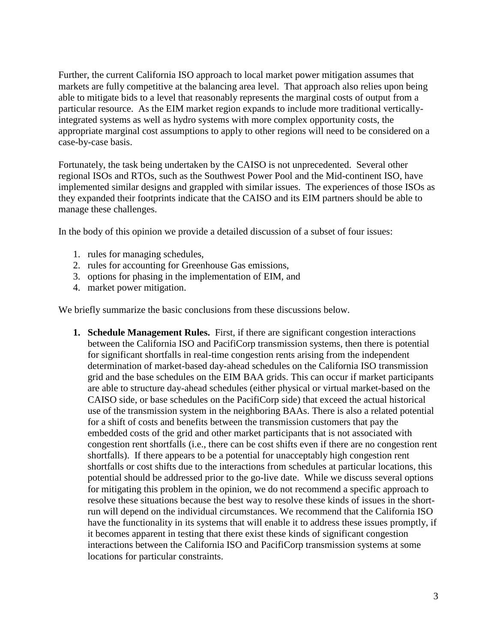Further, the current California ISO approach to local market power mitigation assumes that markets are fully competitive at the balancing area level. That approach also relies upon being able to mitigate bids to a level that reasonably represents the marginal costs of output from a particular resource. As the EIM market region expands to include more traditional verticallyintegrated systems as well as hydro systems with more complex opportunity costs, the appropriate marginal cost assumptions to apply to other regions will need to be considered on a case-by-case basis.

Fortunately, the task being undertaken by the CAISO is not unprecedented. Several other regional ISOs and RTOs, such as the Southwest Power Pool and the Mid-continent ISO, have implemented similar designs and grappled with similar issues. The experiences of those ISOs as they expanded their footprints indicate that the CAISO and its EIM partners should be able to manage these challenges.

In the body of this opinion we provide a detailed discussion of a subset of four issues:

- 1. rules for managing schedules,
- 2. rules for accounting for Greenhouse Gas emissions,
- 3. options for phasing in the implementation of EIM, and
- 4. market power mitigation.

We briefly summarize the basic conclusions from these discussions below.

**1. Schedule Management Rules.** First, if there are significant congestion interactions between the California ISO and PacifiCorp transmission systems, then there is potential for significant shortfalls in real-time congestion rents arising from the independent determination of market-based day-ahead schedules on the California ISO transmission grid and the base schedules on the EIM BAA grids. This can occur if market participants are able to structure day-ahead schedules (either physical or virtual market-based on the CAISO side, or base schedules on the PacifiCorp side) that exceed the actual historical use of the transmission system in the neighboring BAAs. There is also a related potential for a shift of costs and benefits between the transmission customers that pay the embedded costs of the grid and other market participants that is not associated with congestion rent shortfalls (i.e., there can be cost shifts even if there are no congestion rent shortfalls). If there appears to be a potential for unacceptably high congestion rent shortfalls or cost shifts due to the interactions from schedules at particular locations, this potential should be addressed prior to the go-live date. While we discuss several options for mitigating this problem in the opinion, we do not recommend a specific approach to resolve these situations because the best way to resolve these kinds of issues in the shortrun will depend on the individual circumstances. We recommend that the California ISO have the functionality in its systems that will enable it to address these issues promptly, if it becomes apparent in testing that there exist these kinds of significant congestion interactions between the California ISO and PacifiCorp transmission systems at some locations for particular constraints.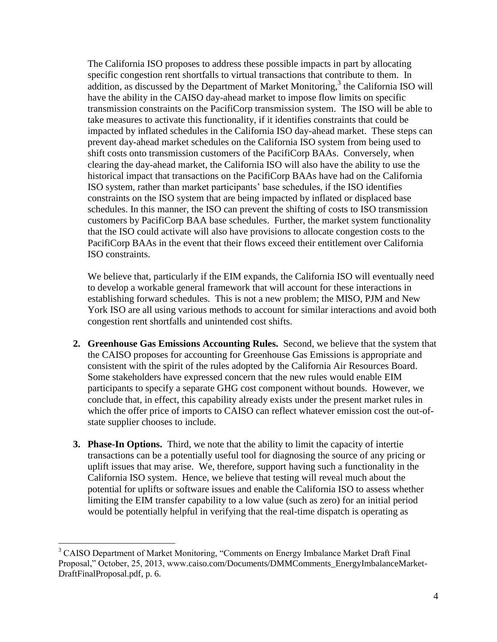The California ISO proposes to address these possible impacts in part by allocating specific congestion rent shortfalls to virtual transactions that contribute to them. In  $a$ ddition, as discussed by the Department of Market Monitoring,<sup>3</sup> the California ISO will have the ability in the CAISO day-ahead market to impose flow limits on specific transmission constraints on the PacifiCorp transmission system. The ISO will be able to take measures to activate this functionality, if it identifies constraints that could be impacted by inflated schedules in the California ISO day-ahead market. These steps can prevent day-ahead market schedules on the California ISO system from being used to shift costs onto transmission customers of the PacifiCorp BAAs. Conversely, when clearing the day-ahead market, the California ISO will also have the ability to use the historical impact that transactions on the PacifiCorp BAAs have had on the California ISO system, rather than market participants' base schedules, if the ISO identifies constraints on the ISO system that are being impacted by inflated or displaced base schedules. In this manner, the ISO can prevent the shifting of costs to ISO transmission customers by PacifiCorp BAA base schedules. Further, the market system functionality that the ISO could activate will also have provisions to allocate congestion costs to the PacifiCorp BAAs in the event that their flows exceed their entitlement over California ISO constraints.

We believe that, particularly if the EIM expands, the California ISO will eventually need to develop a workable general framework that will account for these interactions in establishing forward schedules. This is not a new problem; the MISO, PJM and New York ISO are all using various methods to account for similar interactions and avoid both congestion rent shortfalls and unintended cost shifts.

- **2. Greenhouse Gas Emissions Accounting Rules.** Second, we believe that the system that the CAISO proposes for accounting for Greenhouse Gas Emissions is appropriate and consistent with the spirit of the rules adopted by the California Air Resources Board. Some stakeholders have expressed concern that the new rules would enable EIM participants to specify a separate GHG cost component without bounds. However, we conclude that, in effect, this capability already exists under the present market rules in which the offer price of imports to CAISO can reflect whatever emission cost the out-ofstate supplier chooses to include.
- **3. Phase-In Options.** Third, we note that the ability to limit the capacity of intertie transactions can be a potentially useful tool for diagnosing the source of any pricing or uplift issues that may arise. We, therefore, support having such a functionality in the California ISO system. Hence, we believe that testing will reveal much about the potential for uplifts or software issues and enable the California ISO to assess whether limiting the EIM transfer capability to a low value (such as zero) for an initial period would be potentially helpful in verifying that the real-time dispatch is operating as

<sup>&</sup>lt;sup>3</sup> CAISO Department of Market Monitoring, "Comments on Energy Imbalance Market Draft Final Proposal," October, 25, 2013, www.caiso.com/Documents/DMMComments\_EnergyImbalanceMarket-DraftFinalProposal.pdf, p. 6.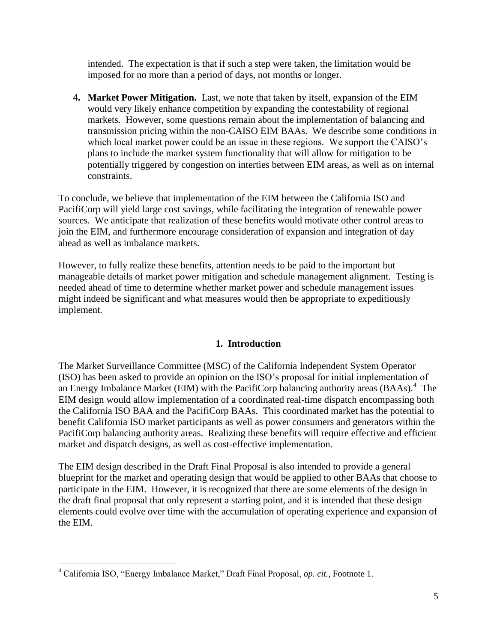intended. The expectation is that if such a step were taken, the limitation would be imposed for no more than a period of days, not months or longer.

**4. Market Power Mitigation.** Last, we note that taken by itself, expansion of the EIM would very likely enhance competition by expanding the contestability of regional markets. However, some questions remain about the implementation of balancing and transmission pricing within the non-CAISO EIM BAAs. We describe some conditions in which local market power could be an issue in these regions. We support the CAISO's plans to include the market system functionality that will allow for mitigation to be potentially triggered by congestion on interties between EIM areas, as well as on internal constraints.

To conclude, we believe that implementation of the EIM between the California ISO and PacifiCorp will yield large cost savings, while facilitating the integration of renewable power sources. We anticipate that realization of these benefits would motivate other control areas to join the EIM, and furthermore encourage consideration of expansion and integration of day ahead as well as imbalance markets.

However, to fully realize these benefits, attention needs to be paid to the important but manageable details of market power mitigation and schedule management alignment. Testing is needed ahead of time to determine whether market power and schedule management issues might indeed be significant and what measures would then be appropriate to expeditiously implement.

### **1. Introduction**

The Market Surveillance Committee (MSC) of the California Independent System Operator (ISO) has been asked to provide an opinion on the ISO's proposal for initial implementation of an Energy Imbalance Market (EIM) with the PacifiCorp balancing authority areas  $(BAAs)$ .<sup>4</sup> The EIM design would allow implementation of a coordinated real-time dispatch encompassing both the California ISO BAA and the PacifiCorp BAAs. This coordinated market has the potential to benefit California ISO market participants as well as power consumers and generators within the PacifiCorp balancing authority areas. Realizing these benefits will require effective and efficient market and dispatch designs, as well as cost-effective implementation.

The EIM design described in the Draft Final Proposal is also intended to provide a general blueprint for the market and operating design that would be applied to other BAAs that choose to participate in the EIM. However, it is recognized that there are some elements of the design in the draft final proposal that only represent a starting point, and it is intended that these design elements could evolve over time with the accumulation of operating experience and expansion of the EIM.

<sup>4</sup> California ISO, "Energy Imbalance Market," Draft Final Proposal, *op. cit.*, Footnote 1.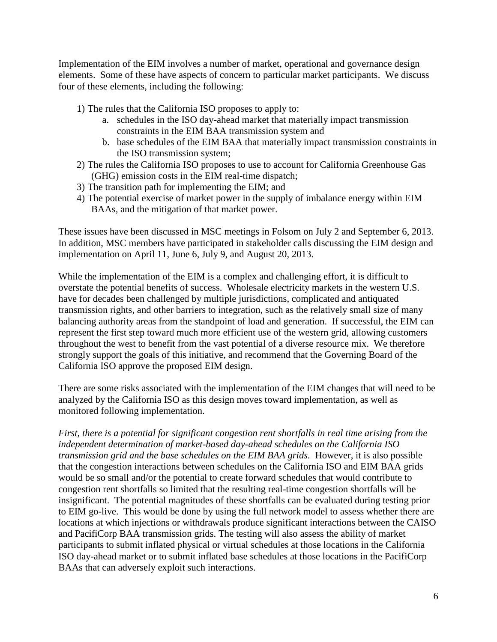Implementation of the EIM involves a number of market, operational and governance design elements. Some of these have aspects of concern to particular market participants. We discuss four of these elements, including the following:

- 1) The rules that the California ISO proposes to apply to:
	- a. schedules in the ISO day-ahead market that materially impact transmission constraints in the EIM BAA transmission system and
	- b. base schedules of the EIM BAA that materially impact transmission constraints in the ISO transmission system;
- 2) The rules the California ISO proposes to use to account for California Greenhouse Gas (GHG) emission costs in the EIM real-time dispatch;
- 3) The transition path for implementing the EIM; and
- 4) The potential exercise of market power in the supply of imbalance energy within EIM BAAs, and the mitigation of that market power.

These issues have been discussed in MSC meetings in Folsom on July 2 and September 6, 2013. In addition, MSC members have participated in stakeholder calls discussing the EIM design and implementation on April 11, June 6, July 9, and August 20, 2013.

While the implementation of the EIM is a complex and challenging effort, it is difficult to overstate the potential benefits of success. Wholesale electricity markets in the western U.S. have for decades been challenged by multiple jurisdictions, complicated and antiquated transmission rights, and other barriers to integration, such as the relatively small size of many balancing authority areas from the standpoint of load and generation. If successful, the EIM can represent the first step toward much more efficient use of the western grid, allowing customers throughout the west to benefit from the vast potential of a diverse resource mix. We therefore strongly support the goals of this initiative, and recommend that the Governing Board of the California ISO approve the proposed EIM design.

There are some risks associated with the implementation of the EIM changes that will need to be analyzed by the California ISO as this design moves toward implementation, as well as monitored following implementation.

*First, there is a potential for significant congestion rent shortfalls in real time arising from the independent determination of market-based day-ahead schedules on the California ISO transmission grid and the base schedules on the EIM BAA grids.* However, it is also possible that the congestion interactions between schedules on the California ISO and EIM BAA grids would be so small and/or the potential to create forward schedules that would contribute to congestion rent shortfalls so limited that the resulting real-time congestion shortfalls will be insignificant. The potential magnitudes of these shortfalls can be evaluated during testing prior to EIM go-live. This would be done by using the full network model to assess whether there are locations at which injections or withdrawals produce significant interactions between the CAISO and PacifiCorp BAA transmission grids. The testing will also assess the ability of market participants to submit inflated physical or virtual schedules at those locations in the California ISO day-ahead market or to submit inflated base schedules at those locations in the PacifiCorp BAAs that can adversely exploit such interactions.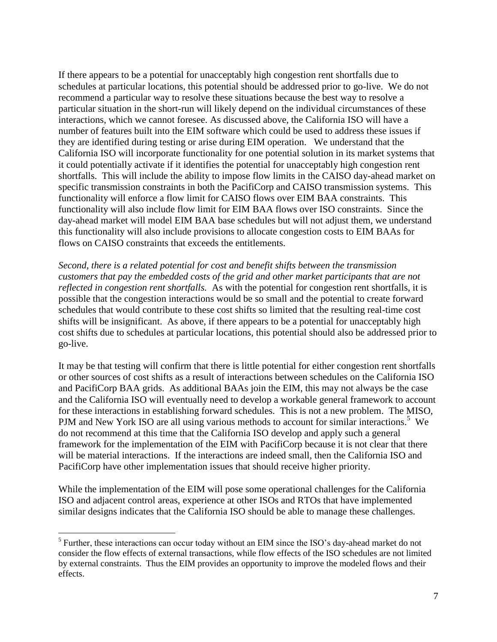If there appears to be a potential for unacceptably high congestion rent shortfalls due to schedules at particular locations, this potential should be addressed prior to go-live. We do not recommend a particular way to resolve these situations because the best way to resolve a particular situation in the short-run will likely depend on the individual circumstances of these interactions, which we cannot foresee. As discussed above, the California ISO will have a number of features built into the EIM software which could be used to address these issues if they are identified during testing or arise during EIM operation. We understand that the California ISO will incorporate functionality for one potential solution in its market systems that it could potentially activate if it identifies the potential for unacceptably high congestion rent shortfalls. This will include the ability to impose flow limits in the CAISO day-ahead market on specific transmission constraints in both the PacifiCorp and CAISO transmission systems. This functionality will enforce a flow limit for CAISO flows over EIM BAA constraints. This functionality will also include flow limit for EIM BAA flows over ISO constraints. Since the day-ahead market will model EIM BAA base schedules but will not adjust them, we understand this functionality will also include provisions to allocate congestion costs to EIM BAAs for flows on CAISO constraints that exceeds the entitlements.

*Second, there is a related potential for cost and benefit shifts between the transmission customers that pay the embedded costs of the grid and other market participants that are not reflected in congestion rent shortfalls.* As with the potential for congestion rent shortfalls, it is possible that the congestion interactions would be so small and the potential to create forward schedules that would contribute to these cost shifts so limited that the resulting real-time cost shifts will be insignificant. As above, if there appears to be a potential for unacceptably high cost shifts due to schedules at particular locations, this potential should also be addressed prior to go-live.

It may be that testing will confirm that there is little potential for either congestion rent shortfalls or other sources of cost shifts as a result of interactions between schedules on the California ISO and PacifiCorp BAA grids. As additional BAAs join the EIM, this may not always be the case and the California ISO will eventually need to develop a workable general framework to account for these interactions in establishing forward schedules. This is not a new problem. The MISO, PJM and New York ISO are all using various methods to account for similar interactions.<sup>5</sup> We do not recommend at this time that the California ISO develop and apply such a general framework for the implementation of the EIM with PacifiCorp because it is not clear that there will be material interactions. If the interactions are indeed small, then the California ISO and PacifiCorp have other implementation issues that should receive higher priority.

While the implementation of the EIM will pose some operational challenges for the California ISO and adjacent control areas, experience at other ISOs and RTOs that have implemented similar designs indicates that the California ISO should be able to manage these challenges.

 $<sup>5</sup>$  Further, these interactions can occur today without an EIM since the ISO's day-ahead market do not</sup> consider the flow effects of external transactions, while flow effects of the ISO schedules are not limited by external constraints. Thus the EIM provides an opportunity to improve the modeled flows and their effects.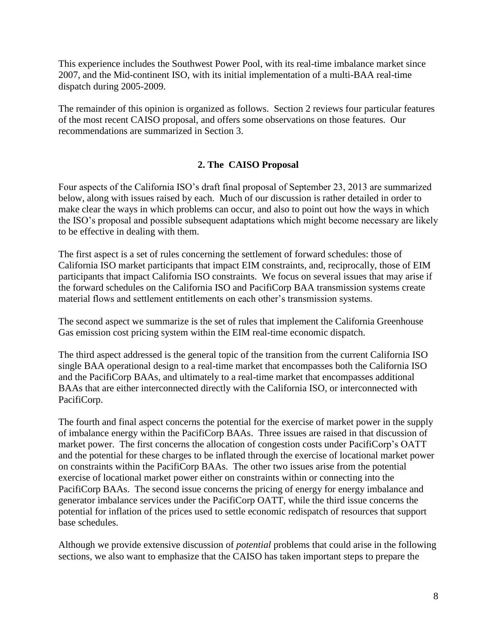This experience includes the Southwest Power Pool, with its real-time imbalance market since 2007, and the Mid-continent ISO, with its initial implementation of a multi-BAA real-time dispatch during 2005-2009.

The remainder of this opinion is organized as follows. Section 2 reviews four particular features of the most recent CAISO proposal, and offers some observations on those features. Our recommendations are summarized in Section 3.

## **2. The CAISO Proposal**

Four aspects of the California ISO's draft final proposal of September 23, 2013 are summarized below, along with issues raised by each. Much of our discussion is rather detailed in order to make clear the ways in which problems can occur, and also to point out how the ways in which the ISO's proposal and possible subsequent adaptations which might become necessary are likely to be effective in dealing with them.

The first aspect is a set of rules concerning the settlement of forward schedules: those of California ISO market participants that impact EIM constraints, and, reciprocally, those of EIM participants that impact California ISO constraints. We focus on several issues that may arise if the forward schedules on the California ISO and PacifiCorp BAA transmission systems create material flows and settlement entitlements on each other's transmission systems.

The second aspect we summarize is the set of rules that implement the California Greenhouse Gas emission cost pricing system within the EIM real-time economic dispatch.

The third aspect addressed is the general topic of the transition from the current California ISO single BAA operational design to a real-time market that encompasses both the California ISO and the PacifiCorp BAAs, and ultimately to a real-time market that encompasses additional BAAs that are either interconnected directly with the California ISO, or interconnected with PacifiCorp.

The fourth and final aspect concerns the potential for the exercise of market power in the supply of imbalance energy within the PacifiCorp BAAs. Three issues are raised in that discussion of market power. The first concerns the allocation of congestion costs under PacifiCorp's OATT and the potential for these charges to be inflated through the exercise of locational market power on constraints within the PacifiCorp BAAs. The other two issues arise from the potential exercise of locational market power either on constraints within or connecting into the PacifiCorp BAAs. The second issue concerns the pricing of energy for energy imbalance and generator imbalance services under the PacifiCorp OATT, while the third issue concerns the potential for inflation of the prices used to settle economic redispatch of resources that support base schedules.

Although we provide extensive discussion of *potential* problems that could arise in the following sections, we also want to emphasize that the CAISO has taken important steps to prepare the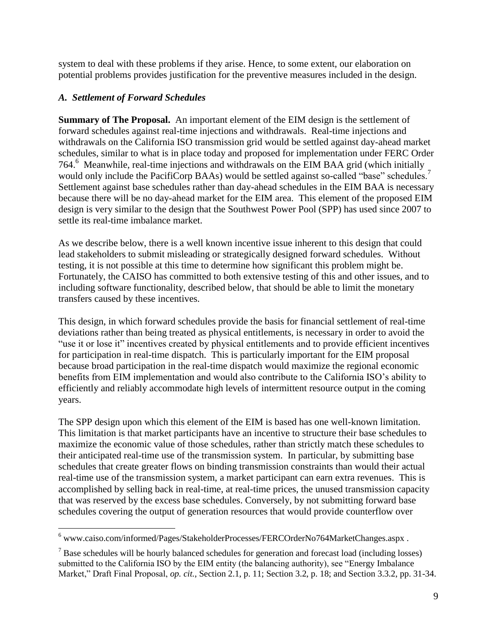system to deal with these problems if they arise. Hence, to some extent, our elaboration on potential problems provides justification for the preventive measures included in the design.

## *A. Settlement of Forward Schedules*

 $\overline{a}$ 

**Summary of The Proposal.** An important element of the EIM design is the settlement of forward schedules against real-time injections and withdrawals. Real-time injections and withdrawals on the California ISO transmission grid would be settled against day-ahead market schedules, similar to what is in place today and proposed for implementation under FERC Order 764.<sup>6</sup> Meanwhile, real-time injections and withdrawals on the EIM BAA grid (which initially would only include the PacifiCorp BAAs) would be settled against so-called "base" schedules.<sup>7</sup> Settlement against base schedules rather than day-ahead schedules in the EIM BAA is necessary because there will be no day-ahead market for the EIM area. This element of the proposed EIM design is very similar to the design that the Southwest Power Pool (SPP) has used since 2007 to settle its real-time imbalance market.

As we describe below, there is a well known incentive issue inherent to this design that could lead stakeholders to submit misleading or strategically designed forward schedules. Without testing, it is not possible at this time to determine how significant this problem might be. Fortunately, the CAISO has committed to both extensive testing of this and other issues, and to including software functionality, described below, that should be able to limit the monetary transfers caused by these incentives.

This design, in which forward schedules provide the basis for financial settlement of real-time deviations rather than being treated as physical entitlements, is necessary in order to avoid the "use it or lose it" incentives created by physical entitlements and to provide efficient incentives for participation in real-time dispatch. This is particularly important for the EIM proposal because broad participation in the real-time dispatch would maximize the regional economic benefits from EIM implementation and would also contribute to the California ISO's ability to efficiently and reliably accommodate high levels of intermittent resource output in the coming years.

The SPP design upon which this element of the EIM is based has one well-known limitation. This limitation is that market participants have an incentive to structure their base schedules to maximize the economic value of those schedules, rather than strictly match these schedules to their anticipated real-time use of the transmission system. In particular, by submitting base schedules that create greater flows on binding transmission constraints than would their actual real-time use of the transmission system, a market participant can earn extra revenues. This is accomplished by selling back in real-time, at real-time prices, the unused transmission capacity that was reserved by the excess base schedules. Conversely, by not submitting forward base schedules covering the output of generation resources that would provide counterflow over

 $6$  www.caiso.com/informed/Pages/StakeholderProcesses/FERCOrderNo764MarketChanges.aspx.

 $<sup>7</sup>$  Base schedules will be hourly balanced schedules for generation and forecast load (including losses)</sup> submitted to the California ISO by the EIM entity (the balancing authority), see "Energy Imbalance Market," Draft Final Proposal, *op. cit.*, Section 2.1, p. 11; Section 3.2, p. 18; and Section 3.3.2, pp. 31-34.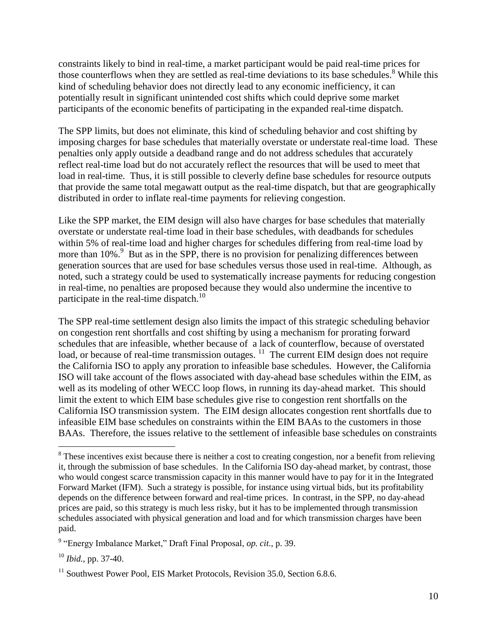constraints likely to bind in real-time, a market participant would be paid real-time prices for those counterflows when they are settled as real-time deviations to its base schedules.<sup>8</sup> While this kind of scheduling behavior does not directly lead to any economic inefficiency, it can potentially result in significant unintended cost shifts which could deprive some market participants of the economic benefits of participating in the expanded real-time dispatch.

The SPP limits, but does not eliminate, this kind of scheduling behavior and cost shifting by imposing charges for base schedules that materially overstate or understate real-time load. These penalties only apply outside a deadband range and do not address schedules that accurately reflect real-time load but do not accurately reflect the resources that will be used to meet that load in real-time. Thus, it is still possible to cleverly define base schedules for resource outputs that provide the same total megawatt output as the real-time dispatch, but that are geographically distributed in order to inflate real-time payments for relieving congestion.

Like the SPP market, the EIM design will also have charges for base schedules that materially overstate or understate real-time load in their base schedules, with deadbands for schedules within 5% of real-time load and higher charges for schedules differing from real-time load by more than 10%.<sup>9</sup> But as in the SPP, there is no provision for penalizing differences between generation sources that are used for base schedules versus those used in real-time. Although, as noted, such a strategy could be used to systematically increase payments for reducing congestion in real-time, no penalties are proposed because they would also undermine the incentive to participate in the real-time dispatch.<sup>10</sup>

The SPP real-time settlement design also limits the impact of this strategic scheduling behavior on congestion rent shortfalls and cost shifting by using a mechanism for prorating forward schedules that are infeasible, whether because of a lack of counterflow, because of overstated load, or because of real-time transmission outages.  $11$  The current EIM design does not require the California ISO to apply any proration to infeasible base schedules. However, the California ISO will take account of the flows associated with day-ahead base schedules within the EIM, as well as its modeling of other WECC loop flows, in running its day-ahead market. This should limit the extent to which EIM base schedules give rise to congestion rent shortfalls on the California ISO transmission system. The EIM design allocates congestion rent shortfalls due to infeasible EIM base schedules on constraints within the EIM BAAs to the customers in those BAAs. Therefore, the issues relative to the settlement of infeasible base schedules on constraints

<sup>&</sup>lt;sup>8</sup> These incentives exist because there is neither a cost to creating congestion, nor a benefit from relieving it, through the submission of base schedules. In the California ISO day-ahead market, by contrast, those who would congest scarce transmission capacity in this manner would have to pay for it in the Integrated Forward Market (IFM). Such a strategy is possible, for instance using virtual bids, but its profitability depends on the difference between forward and real-time prices. In contrast, in the SPP, no day-ahead prices are paid, so this strategy is much less risky, but it has to be implemented through transmission schedules associated with physical generation and load and for which transmission charges have been paid.

<sup>9</sup> "Energy Imbalance Market," Draft Final Proposal, *op. cit.*, p. 39.

<sup>10</sup> *Ibid.*, pp. 37-40.

<sup>&</sup>lt;sup>11</sup> Southwest Power Pool, EIS Market Protocols, Revision 35.0, Section 6.8.6.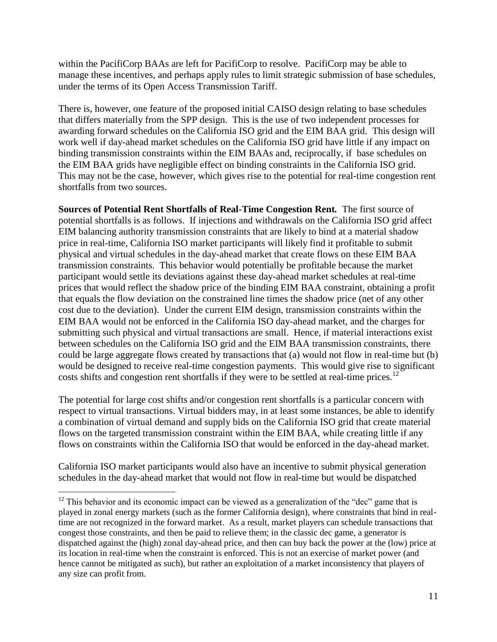within the PacifiCorp BAAs are left for PacifiCorp to resolve. PacifiCorp may be able to manage these incentives, and perhaps apply rules to limit strategic submission of base schedules, under the terms of its Open Access Transmission Tariff.

There is, however, one feature of the proposed initial CAISO design relating to base schedules that differs materially from the SPP design. This is the use of two independent processes for awarding forward schedules on the California ISO grid and the EIM BAA grid. This design will work well if day-ahead market schedules on the California ISO grid have little if any impact on binding transmission constraints within the EIM BAAs and, reciprocally, if base schedules on the EIM BAA grids have negligible effect on binding constraints in the California ISO grid. This may not be the case, however, which gives rise to the potential for real-time congestion rent shortfalls from two sources.

**Sources of Potential Rent Shortfalls of Real-Time Congestion Rent***.* The first source of potential shortfalls is as follows. If injections and withdrawals on the California ISO grid affect EIM balancing authority transmission constraints that are likely to bind at a material shadow price in real-time, California ISO market participants will likely find it profitable to submit physical and virtual schedules in the day-ahead market that create flows on these EIM BAA transmission constraints. This behavior would potentially be profitable because the market participant would settle its deviations against these day-ahead market schedules at real-time prices that would reflect the shadow price of the binding EIM BAA constraint, obtaining a profit that equals the flow deviation on the constrained line times the shadow price (net of any other cost due to the deviation). Under the current EIM design, transmission constraints within the EIM BAA would not be enforced in the California ISO day-ahead market, and the charges for submitting such physical and virtual transactions are small. Hence, if material interactions exist between schedules on the California ISO grid and the EIM BAA transmission constraints, there could be large aggregate flows created by transactions that (a) would not flow in real-time but (b) would be designed to receive real-time congestion payments. This would give rise to significant costs shifts and congestion rent shortfalls if they were to be settled at real-time prices.<sup>12</sup>

The potential for large cost shifts and/or congestion rent shortfalls is a particular concern with respect to virtual transactions. Virtual bidders may, in at least some instances, be able to identify a combination of virtual demand and supply bids on the California ISO grid that create material flows on the targeted transmission constraint within the EIM BAA, while creating little if any flows on constraints within the California ISO that would be enforced in the day-ahead market.

California ISO market participants would also have an incentive to submit physical generation schedules in the day-ahead market that would not flow in real-time but would be dispatched

 $12$  This behavior and its economic impact can be viewed as a generalization of the "dec" game that is played in zonal energy markets (such as the former California design), where constraints that bind in realtime are not recognized in the forward market. As a result, market players can schedule transactions that congest those constraints, and then be paid to relieve them; in the classic dec game, a generator is dispatched against the (high) zonal day-ahead price, and then can buy back the power at the (low) price at its location in real-time when the constraint is enforced. This is not an exercise of market power (and hence cannot be mitigated as such), but rather an exploitation of a market inconsistency that players of any size can profit from.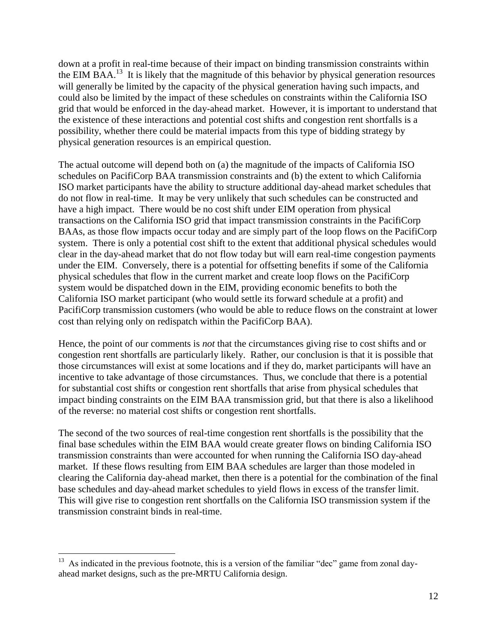down at a profit in real-time because of their impact on binding transmission constraints within the EIM BAA.<sup>13</sup> It is likely that the magnitude of this behavior by physical generation resources will generally be limited by the capacity of the physical generation having such impacts, and could also be limited by the impact of these schedules on constraints within the California ISO grid that would be enforced in the day-ahead market. However, it is important to understand that the existence of these interactions and potential cost shifts and congestion rent shortfalls is a possibility, whether there could be material impacts from this type of bidding strategy by physical generation resources is an empirical question.

The actual outcome will depend both on (a) the magnitude of the impacts of California ISO schedules on PacifiCorp BAA transmission constraints and (b) the extent to which California ISO market participants have the ability to structure additional day-ahead market schedules that do not flow in real-time. It may be very unlikely that such schedules can be constructed and have a high impact. There would be no cost shift under EIM operation from physical transactions on the California ISO grid that impact transmission constraints in the PacifiCorp BAAs, as those flow impacts occur today and are simply part of the loop flows on the PacifiCorp system. There is only a potential cost shift to the extent that additional physical schedules would clear in the day-ahead market that do not flow today but will earn real-time congestion payments under the EIM. Conversely, there is a potential for offsetting benefits if some of the California physical schedules that flow in the current market and create loop flows on the PacifiCorp system would be dispatched down in the EIM, providing economic benefits to both the California ISO market participant (who would settle its forward schedule at a profit) and PacifiCorp transmission customers (who would be able to reduce flows on the constraint at lower cost than relying only on redispatch within the PacifiCorp BAA).

Hence, the point of our comments is *not* that the circumstances giving rise to cost shifts and or congestion rent shortfalls are particularly likely. Rather, our conclusion is that it is possible that those circumstances will exist at some locations and if they do, market participants will have an incentive to take advantage of those circumstances. Thus, we conclude that there is a potential for substantial cost shifts or congestion rent shortfalls that arise from physical schedules that impact binding constraints on the EIM BAA transmission grid, but that there is also a likelihood of the reverse: no material cost shifts or congestion rent shortfalls.

The second of the two sources of real-time congestion rent shortfalls is the possibility that the final base schedules within the EIM BAA would create greater flows on binding California ISO transmission constraints than were accounted for when running the California ISO day-ahead market. If these flows resulting from EIM BAA schedules are larger than those modeled in clearing the California day-ahead market, then there is a potential for the combination of the final base schedules and day-ahead market schedules to yield flows in excess of the transfer limit. This will give rise to congestion rent shortfalls on the California ISO transmission system if the transmission constraint binds in real-time.

 $13$  As indicated in the previous footnote, this is a version of the familiar "dec" game from zonal dayahead market designs, such as the pre-MRTU California design.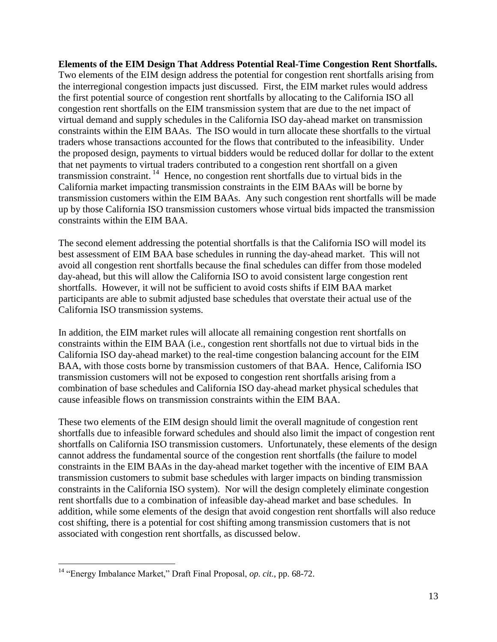**Elements of the EIM Design That Address Potential Real-Time Congestion Rent Shortfalls.**  Two elements of the EIM design address the potential for congestion rent shortfalls arising from the interregional congestion impacts just discussed. First, the EIM market rules would address the first potential source of congestion rent shortfalls by allocating to the California ISO all congestion rent shortfalls on the EIM transmission system that are due to the net impact of virtual demand and supply schedules in the California ISO day-ahead market on transmission constraints within the EIM BAAs. The ISO would in turn allocate these shortfalls to the virtual traders whose transactions accounted for the flows that contributed to the infeasibility. Under the proposed design, payments to virtual bidders would be reduced dollar for dollar to the extent that net payments to virtual traders contributed to a congestion rent shortfall on a given transmission constraint.<sup>14</sup> Hence, no congestion rent shortfalls due to virtual bids in the California market impacting transmission constraints in the EIM BAAs will be borne by transmission customers within the EIM BAAs. Any such congestion rent shortfalls will be made up by those California ISO transmission customers whose virtual bids impacted the transmission constraints within the EIM BAA.

The second element addressing the potential shortfalls is that the California ISO will model its best assessment of EIM BAA base schedules in running the day-ahead market. This will not avoid all congestion rent shortfalls because the final schedules can differ from those modeled day-ahead, but this will allow the California ISO to avoid consistent large congestion rent shortfalls. However, it will not be sufficient to avoid costs shifts if EIM BAA market participants are able to submit adjusted base schedules that overstate their actual use of the California ISO transmission systems.

In addition, the EIM market rules will allocate all remaining congestion rent shortfalls on constraints within the EIM BAA (i.e., congestion rent shortfalls not due to virtual bids in the California ISO day-ahead market) to the real-time congestion balancing account for the EIM BAA, with those costs borne by transmission customers of that BAA. Hence, California ISO transmission customers will not be exposed to congestion rent shortfalls arising from a combination of base schedules and California ISO day-ahead market physical schedules that cause infeasible flows on transmission constraints within the EIM BAA.

These two elements of the EIM design should limit the overall magnitude of congestion rent shortfalls due to infeasible forward schedules and should also limit the impact of congestion rent shortfalls on California ISO transmission customers. Unfortunately, these elements of the design cannot address the fundamental source of the congestion rent shortfalls (the failure to model constraints in the EIM BAAs in the day-ahead market together with the incentive of EIM BAA transmission customers to submit base schedules with larger impacts on binding transmission constraints in the California ISO system). Nor will the design completely eliminate congestion rent shortfalls due to a combination of infeasible day-ahead market and base schedules. In addition, while some elements of the design that avoid congestion rent shortfalls will also reduce cost shifting, there is a potential for cost shifting among transmission customers that is not associated with congestion rent shortfalls, as discussed below.

<sup>14</sup> "Energy Imbalance Market," Draft Final Proposal, *op. cit.*, pp. 68-72.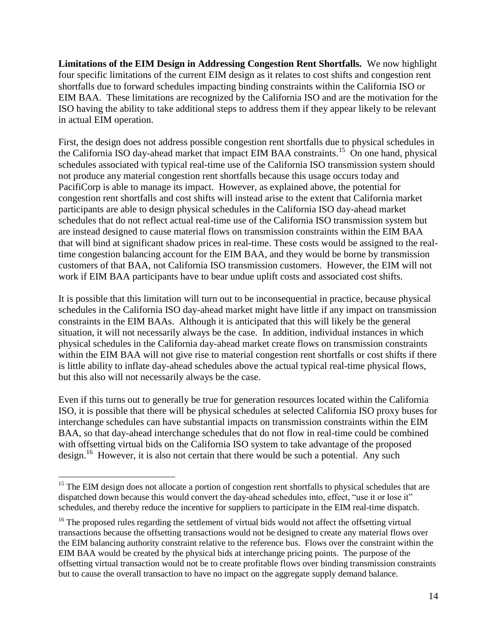**Limitations of the EIM Design in Addressing Congestion Rent Shortfalls.** We now highlight four specific limitations of the current EIM design as it relates to cost shifts and congestion rent shortfalls due to forward schedules impacting binding constraints within the California ISO or EIM BAA. These limitations are recognized by the California ISO and are the motivation for the ISO having the ability to take additional steps to address them if they appear likely to be relevant in actual EIM operation.

First, the design does not address possible congestion rent shortfalls due to physical schedules in the California ISO day-ahead market that impact EIM BAA constraints.<sup>15</sup> On one hand, physical schedules associated with typical real-time use of the California ISO transmission system should not produce any material congestion rent shortfalls because this usage occurs today and PacifiCorp is able to manage its impact. However, as explained above, the potential for congestion rent shortfalls and cost shifts will instead arise to the extent that California market participants are able to design physical schedules in the California ISO day-ahead market schedules that do not reflect actual real-time use of the California ISO transmission system but are instead designed to cause material flows on transmission constraints within the EIM BAA that will bind at significant shadow prices in real-time. These costs would be assigned to the realtime congestion balancing account for the EIM BAA, and they would be borne by transmission customers of that BAA, not California ISO transmission customers. However, the EIM will not work if EIM BAA participants have to bear undue uplift costs and associated cost shifts.

It is possible that this limitation will turn out to be inconsequential in practice, because physical schedules in the California ISO day-ahead market might have little if any impact on transmission constraints in the EIM BAAs. Although it is anticipated that this will likely be the general situation, it will not necessarily always be the case. In addition, individual instances in which physical schedules in the California day-ahead market create flows on transmission constraints within the EIM BAA will not give rise to material congestion rent shortfalls or cost shifts if there is little ability to inflate day-ahead schedules above the actual typical real-time physical flows, but this also will not necessarily always be the case.

Even if this turns out to generally be true for generation resources located within the California ISO, it is possible that there will be physical schedules at selected California ISO proxy buses for interchange schedules can have substantial impacts on transmission constraints within the EIM BAA, so that day-ahead interchange schedules that do not flow in real-time could be combined with offsetting virtual bids on the California ISO system to take advantage of the proposed design.<sup>16</sup> However, it is also not certain that there would be such a potential. Any such

<sup>&</sup>lt;sup>15</sup> The EIM design does not allocate a portion of congestion rent shortfalls to physical schedules that are dispatched down because this would convert the day-ahead schedules into, effect, "use it or lose it" schedules, and thereby reduce the incentive for suppliers to participate in the EIM real-time dispatch.

 $16$  The proposed rules regarding the settlement of virtual bids would not affect the offsetting virtual transactions because the offsetting transactions would not be designed to create any material flows over the EIM balancing authority constraint relative to the reference bus. Flows over the constraint within the EIM BAA would be created by the physical bids at interchange pricing points. The purpose of the offsetting virtual transaction would not be to create profitable flows over binding transmission constraints but to cause the overall transaction to have no impact on the aggregate supply demand balance.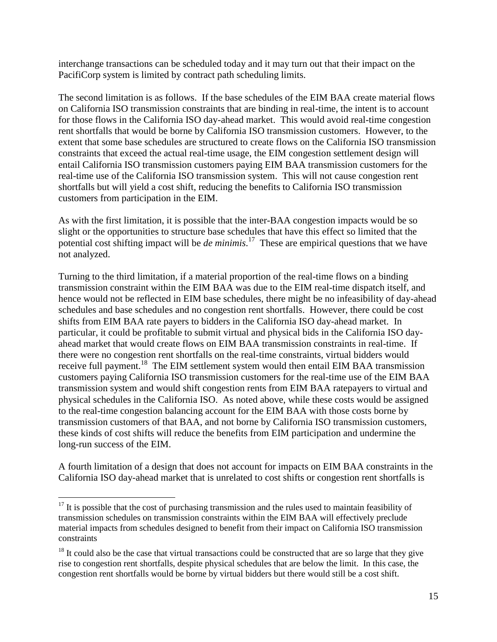interchange transactions can be scheduled today and it may turn out that their impact on the PacifiCorp system is limited by contract path scheduling limits.

The second limitation is as follows. If the base schedules of the EIM BAA create material flows on California ISO transmission constraints that are binding in real-time, the intent is to account for those flows in the California ISO day-ahead market. This would avoid real-time congestion rent shortfalls that would be borne by California ISO transmission customers. However, to the extent that some base schedules are structured to create flows on the California ISO transmission constraints that exceed the actual real-time usage, the EIM congestion settlement design will entail California ISO transmission customers paying EIM BAA transmission customers for the real-time use of the California ISO transmission system. This will not cause congestion rent shortfalls but will yield a cost shift, reducing the benefits to California ISO transmission customers from participation in the EIM.

As with the first limitation, it is possible that the inter-BAA congestion impacts would be so slight or the opportunities to structure base schedules that have this effect so limited that the potential cost shifting impact will be *de minimis*. 17 These are empirical questions that we have not analyzed.

Turning to the third limitation, if a material proportion of the real-time flows on a binding transmission constraint within the EIM BAA was due to the EIM real-time dispatch itself, and hence would not be reflected in EIM base schedules, there might be no infeasibility of day-ahead schedules and base schedules and no congestion rent shortfalls. However, there could be cost shifts from EIM BAA rate payers to bidders in the California ISO day-ahead market. In particular, it could be profitable to submit virtual and physical bids in the California ISO dayahead market that would create flows on EIM BAA transmission constraints in real-time. If there were no congestion rent shortfalls on the real-time constraints, virtual bidders would receive full payment.<sup>18</sup> The EIM settlement system would then entail EIM BAA transmission customers paying California ISO transmission customers for the real-time use of the EIM BAA transmission system and would shift congestion rents from EIM BAA ratepayers to virtual and physical schedules in the California ISO. As noted above, while these costs would be assigned to the real-time congestion balancing account for the EIM BAA with those costs borne by transmission customers of that BAA, and not borne by California ISO transmission customers, these kinds of cost shifts will reduce the benefits from EIM participation and undermine the long-run success of the EIM.

A fourth limitation of a design that does not account for impacts on EIM BAA constraints in the California ISO day-ahead market that is unrelated to cost shifts or congestion rent shortfalls is

 $17$  It is possible that the cost of purchasing transmission and the rules used to maintain feasibility of transmission schedules on transmission constraints within the EIM BAA will effectively preclude material impacts from schedules designed to benefit from their impact on California ISO transmission constraints

 $18$  It could also be the case that virtual transactions could be constructed that are so large that they give rise to congestion rent shortfalls, despite physical schedules that are below the limit. In this case, the congestion rent shortfalls would be borne by virtual bidders but there would still be a cost shift.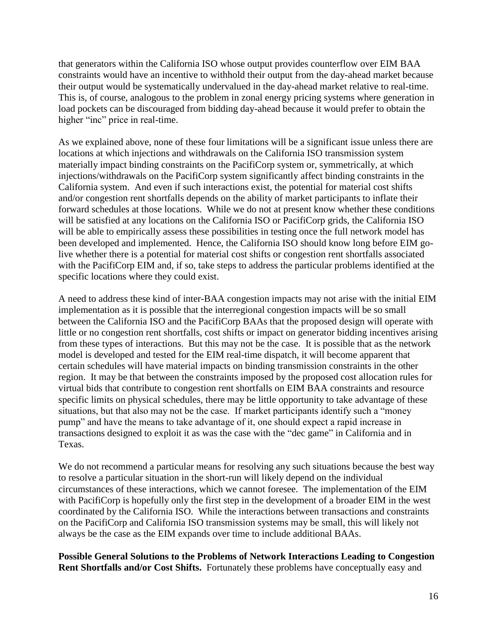that generators within the California ISO whose output provides counterflow over EIM BAA constraints would have an incentive to withhold their output from the day-ahead market because their output would be systematically undervalued in the day-ahead market relative to real-time. This is, of course, analogous to the problem in zonal energy pricing systems where generation in load pockets can be discouraged from bidding day-ahead because it would prefer to obtain the higher "inc" price in real-time.

As we explained above, none of these four limitations will be a significant issue unless there are locations at which injections and withdrawals on the California ISO transmission system materially impact binding constraints on the PacifiCorp system or, symmetrically, at which injections/withdrawals on the PacifiCorp system significantly affect binding constraints in the California system. And even if such interactions exist, the potential for material cost shifts and/or congestion rent shortfalls depends on the ability of market participants to inflate their forward schedules at those locations. While we do not at present know whether these conditions will be satisfied at any locations on the California ISO or PacifiCorp grids, the California ISO will be able to empirically assess these possibilities in testing once the full network model has been developed and implemented. Hence, the California ISO should know long before EIM golive whether there is a potential for material cost shifts or congestion rent shortfalls associated with the PacifiCorp EIM and, if so, take steps to address the particular problems identified at the specific locations where they could exist.

A need to address these kind of inter-BAA congestion impacts may not arise with the initial EIM implementation as it is possible that the interregional congestion impacts will be so small between the California ISO and the PacifiCorp BAAs that the proposed design will operate with little or no congestion rent shortfalls, cost shifts or impact on generator bidding incentives arising from these types of interactions. But this may not be the case. It is possible that as the network model is developed and tested for the EIM real-time dispatch, it will become apparent that certain schedules will have material impacts on binding transmission constraints in the other region. It may be that between the constraints imposed by the proposed cost allocation rules for virtual bids that contribute to congestion rent shortfalls on EIM BAA constraints and resource specific limits on physical schedules, there may be little opportunity to take advantage of these situations, but that also may not be the case. If market participants identify such a "money pump" and have the means to take advantage of it, one should expect a rapid increase in transactions designed to exploit it as was the case with the "dec game" in California and in Texas.

We do not recommend a particular means for resolving any such situations because the best way to resolve a particular situation in the short-run will likely depend on the individual circumstances of these interactions, which we cannot foresee. The implementation of the EIM with PacifiCorp is hopefully only the first step in the development of a broader EIM in the west coordinated by the California ISO. While the interactions between transactions and constraints on the PacifiCorp and California ISO transmission systems may be small, this will likely not always be the case as the EIM expands over time to include additional BAAs.

**Possible General Solutions to the Problems of Network Interactions Leading to Congestion Rent Shortfalls and/or Cost Shifts.** Fortunately these problems have conceptually easy and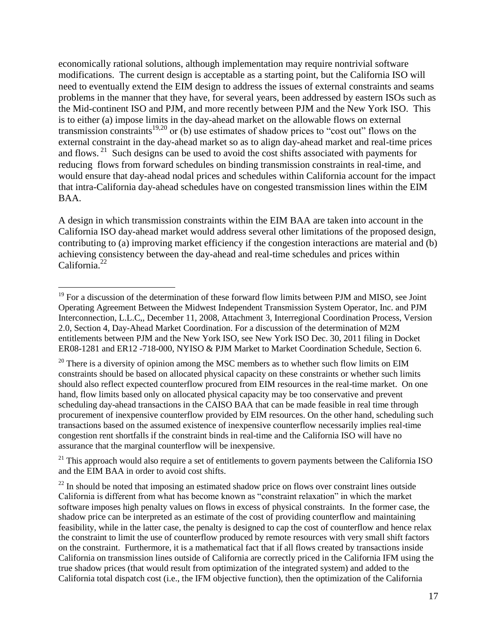economically rational solutions, although implementation may require nontrivial software modifications. The current design is acceptable as a starting point, but the California ISO will need to eventually extend the EIM design to address the issues of external constraints and seams problems in the manner that they have, for several years, been addressed by eastern ISOs such as the Mid-continent ISO and PJM, and more recently between PJM and the New York ISO. This is to either (a) impose limits in the day-ahead market on the allowable flows on external transmission constraints<sup>19,20</sup> or (b) use estimates of shadow prices to "cost out" flows on the external constraint in the day-ahead market so as to align day-ahead market and real-time prices and flows.<sup>21</sup> Such designs can be used to avoid the cost shifts associated with payments for reducing flows from forward schedules on binding transmission constraints in real-time, and would ensure that day-ahead nodal prices and schedules within California account for the impact that intra-California day-ahead schedules have on congested transmission lines within the EIM BAA.

A design in which transmission constraints within the EIM BAA are taken into account in the California ISO day-ahead market would address several other limitations of the proposed design, contributing to (a) improving market efficiency if the congestion interactions are material and (b) achieving consistency between the day-ahead and real-time schedules and prices within California.<sup>22</sup>

 $\overline{a}$  $19$  For a discussion of the determination of these forward flow limits between PJM and MISO, see Joint Operating Agreement Between the Midwest Independent Transmission System Operator, Inc. and PJM Interconnection, L.L.C,, December 11, 2008, Attachment 3, Interregional Coordination Process, Version 2.0, Section 4, Day-Ahead Market Coordination. For a discussion of the determination of M2M entitlements between PJM and the New York ISO, see New York ISO Dec. 30, 2011 filing in Docket ER08-1281 and ER12 -718-000, NYISO & PJM Market to Market Coordination Schedule, Section 6.

 $20$  There is a diversity of opinion among the MSC members as to whether such flow limits on EIM constraints should be based on allocated physical capacity on these constraints or whether such limits should also reflect expected counterflow procured from EIM resources in the real-time market. On one hand, flow limits based only on allocated physical capacity may be too conservative and prevent scheduling day-ahead transactions in the CAISO BAA that can be made feasible in real time through procurement of inexpensive counterflow provided by EIM resources. On the other hand, scheduling such transactions based on the assumed existence of inexpensive counterflow necessarily implies real-time congestion rent shortfalls if the constraint binds in real-time and the California ISO will have no assurance that the marginal counterflow will be inexpensive.

 $21$  This approach would also require a set of entitlements to govern payments between the California ISO and the EIM BAA in order to avoid cost shifts.

 $22$  In should be noted that imposing an estimated shadow price on flows over constraint lines outside California is different from what has become known as "constraint relaxation" in which the market software imposes high penalty values on flows in excess of physical constraints. In the former case, the shadow price can be interpreted as an estimate of the cost of providing counterflow and maintaining feasibility, while in the latter case, the penalty is designed to cap the cost of counterflow and hence relax the constraint to limit the use of counterflow produced by remote resources with very small shift factors on the constraint. Furthermore, it is a mathematical fact that if all flows created by transactions inside California on transmission lines outside of California are correctly priced in the California IFM using the true shadow prices (that would result from optimization of the integrated system) and added to the California total dispatch cost (i.e., the IFM objective function), then the optimization of the California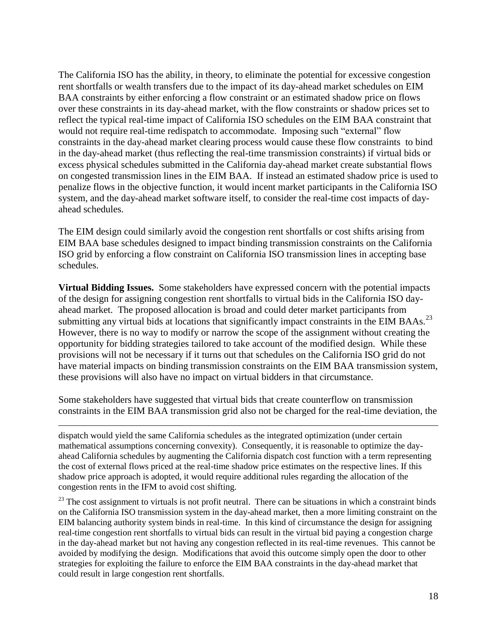The California ISO has the ability, in theory, to eliminate the potential for excessive congestion rent shortfalls or wealth transfers due to the impact of its day-ahead market schedules on EIM BAA constraints by either enforcing a flow constraint or an estimated shadow price on flows over these constraints in its day-ahead market, with the flow constraints or shadow prices set to reflect the typical real-time impact of California ISO schedules on the EIM BAA constraint that would not require real-time redispatch to accommodate. Imposing such "external" flow constraints in the day-ahead market clearing process would cause these flow constraints to bind in the day-ahead market (thus reflecting the real-time transmission constraints) if virtual bids or excess physical schedules submitted in the California day-ahead market create substantial flows on congested transmission lines in the EIM BAA. If instead an estimated shadow price is used to penalize flows in the objective function, it would incent market participants in the California ISO system, and the day-ahead market software itself, to consider the real-time cost impacts of dayahead schedules.

The EIM design could similarly avoid the congestion rent shortfalls or cost shifts arising from EIM BAA base schedules designed to impact binding transmission constraints on the California ISO grid by enforcing a flow constraint on California ISO transmission lines in accepting base schedules.

**Virtual Bidding Issues.** Some stakeholders have expressed concern with the potential impacts of the design for assigning congestion rent shortfalls to virtual bids in the California ISO dayahead market. The proposed allocation is broad and could deter market participants from submitting any virtual bids at locations that significantly impact constraints in the EIM BAAs.<sup>23</sup> However, there is no way to modify or narrow the scope of the assignment without creating the opportunity for bidding strategies tailored to take account of the modified design. While these provisions will not be necessary if it turns out that schedules on the California ISO grid do not have material impacts on binding transmission constraints on the EIM BAA transmission system, these provisions will also have no impact on virtual bidders in that circumstance.

Some stakeholders have suggested that virtual bids that create counterflow on transmission constraints in the EIM BAA transmission grid also not be charged for the real-time deviation, the

 $\overline{a}$ 

dispatch would yield the same California schedules as the integrated optimization (under certain mathematical assumptions concerning convexity). Consequently, it is reasonable to optimize the dayahead California schedules by augmenting the California dispatch cost function with a term representing the cost of external flows priced at the real-time shadow price estimates on the respective lines. If this shadow price approach is adopted, it would require additional rules regarding the allocation of the congestion rents in the IFM to avoid cost shifting.

<sup>23</sup> The cost assignment to virtuals is not profit neutral. There can be situations in which a constraint binds on the California ISO transmission system in the day-ahead market, then a more limiting constraint on the EIM balancing authority system binds in real-time. In this kind of circumstance the design for assigning real-time congestion rent shortfalls to virtual bids can result in the virtual bid paying a congestion charge in the day-ahead market but not having any congestion reflected in its real-time revenues. This cannot be avoided by modifying the design. Modifications that avoid this outcome simply open the door to other strategies for exploiting the failure to enforce the EIM BAA constraints in the day-ahead market that could result in large congestion rent shortfalls.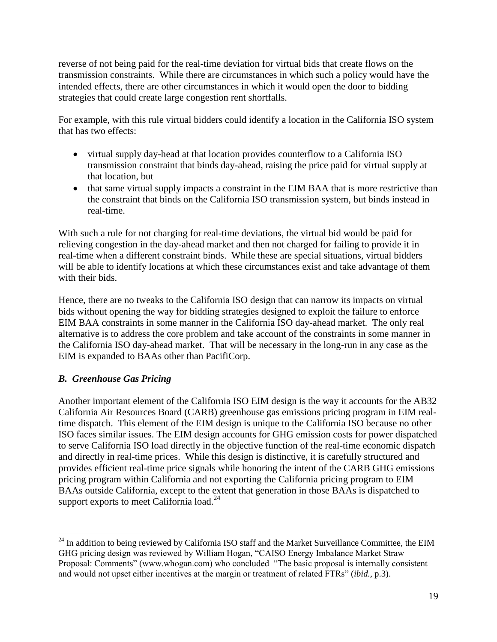reverse of not being paid for the real-time deviation for virtual bids that create flows on the transmission constraints. While there are circumstances in which such a policy would have the intended effects, there are other circumstances in which it would open the door to bidding strategies that could create large congestion rent shortfalls.

For example, with this rule virtual bidders could identify a location in the California ISO system that has two effects:

- virtual supply day-head at that location provides counterflow to a California ISO transmission constraint that binds day-ahead, raising the price paid for virtual supply at that location, but
- that same virtual supply impacts a constraint in the EIM BAA that is more restrictive than the constraint that binds on the California ISO transmission system, but binds instead in real-time.

With such a rule for not charging for real-time deviations, the virtual bid would be paid for relieving congestion in the day-ahead market and then not charged for failing to provide it in real-time when a different constraint binds. While these are special situations, virtual bidders will be able to identify locations at which these circumstances exist and take advantage of them with their bids.

Hence, there are no tweaks to the California ISO design that can narrow its impacts on virtual bids without opening the way for bidding strategies designed to exploit the failure to enforce EIM BAA constraints in some manner in the California ISO day-ahead market. The only real alternative is to address the core problem and take account of the constraints in some manner in the California ISO day-ahead market. That will be necessary in the long-run in any case as the EIM is expanded to BAAs other than PacifiCorp.

# *B. Greenhouse Gas Pricing*

 $\overline{a}$ 

Another important element of the California ISO EIM design is the way it accounts for the AB32 California Air Resources Board (CARB) greenhouse gas emissions pricing program in EIM realtime dispatch. This element of the EIM design is unique to the California ISO because no other ISO faces similar issues. The EIM design accounts for GHG emission costs for power dispatched to serve California ISO load directly in the objective function of the real-time economic dispatch and directly in real-time prices. While this design is distinctive, it is carefully structured and provides efficient real-time price signals while honoring the intent of the CARB GHG emissions pricing program within California and not exporting the California pricing program to EIM BAAs outside California, except to the extent that generation in those BAAs is dispatched to support exports to meet California load. $^{24}$ 

 $^{24}$  In addition to being reviewed by California ISO staff and the Market Surveillance Committee, the EIM GHG pricing design was reviewed by William Hogan, "CAISO Energy Imbalance Market Straw Proposal: Comments" (www.whogan.com) who concluded "The basic proposal is internally consistent and would not upset either incentives at the margin or treatment of related FTRs" (*ibid.*, p.3).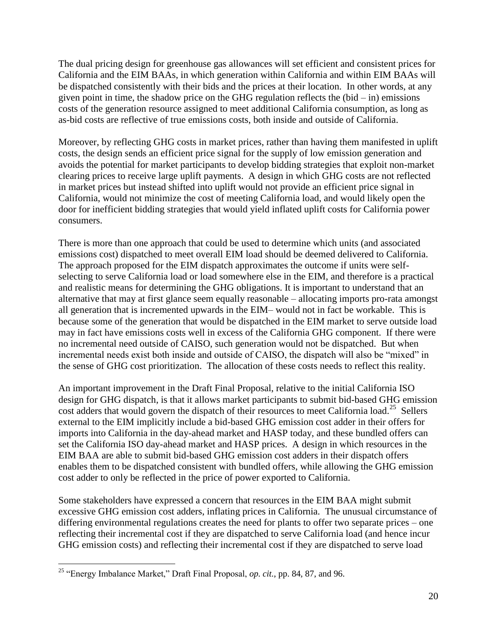The dual pricing design for greenhouse gas allowances will set efficient and consistent prices for California and the EIM BAAs, in which generation within California and within EIM BAAs will be dispatched consistently with their bids and the prices at their location. In other words, at any given point in time, the shadow price on the GHG regulation reflects the  $(bid - in)$  emissions costs of the generation resource assigned to meet additional California consumption, as long as as-bid costs are reflective of true emissions costs, both inside and outside of California.

Moreover, by reflecting GHG costs in market prices, rather than having them manifested in uplift costs, the design sends an efficient price signal for the supply of low emission generation and avoids the potential for market participants to develop bidding strategies that exploit non-market clearing prices to receive large uplift payments. A design in which GHG costs are not reflected in market prices but instead shifted into uplift would not provide an efficient price signal in California, would not minimize the cost of meeting California load, and would likely open the door for inefficient bidding strategies that would yield inflated uplift costs for California power consumers.

There is more than one approach that could be used to determine which units (and associated emissions cost) dispatched to meet overall EIM load should be deemed delivered to California. The approach proposed for the EIM dispatch approximates the outcome if units were selfselecting to serve California load or load somewhere else in the EIM, and therefore is a practical and realistic means for determining the GHG obligations. It is important to understand that an alternative that may at first glance seem equally reasonable – allocating imports pro-rata amongst all generation that is incremented upwards in the EIM– would not in fact be workable. This is because some of the generation that would be dispatched in the EIM market to serve outside load may in fact have emissions costs well in excess of the California GHG component. If there were no incremental need outside of CAISO, such generation would not be dispatched. But when incremental needs exist both inside and outside of CAISO, the dispatch will also be "mixed" in the sense of GHG cost prioritization. The allocation of these costs needs to reflect this reality.

An important improvement in the Draft Final Proposal, relative to the initial California ISO design for GHG dispatch, is that it allows market participants to submit bid-based GHG emission cost adders that would govern the dispatch of their resources to meet California load.<sup>25</sup> Sellers external to the EIM implicitly include a bid-based GHG emission cost adder in their offers for imports into California in the day-ahead market and HASP today, and these bundled offers can set the California ISO day-ahead market and HASP prices. A design in which resources in the EIM BAA are able to submit bid-based GHG emission cost adders in their dispatch offers enables them to be dispatched consistent with bundled offers, while allowing the GHG emission cost adder to only be reflected in the price of power exported to California.

Some stakeholders have expressed a concern that resources in the EIM BAA might submit excessive GHG emission cost adders, inflating prices in California. The unusual circumstance of differing environmental regulations creates the need for plants to offer two separate prices – one reflecting their incremental cost if they are dispatched to serve California load (and hence incur GHG emission costs) and reflecting their incremental cost if they are dispatched to serve load

<sup>25</sup> "Energy Imbalance Market," Draft Final Proposal, *op. cit.*, pp. 84, 87, and 96.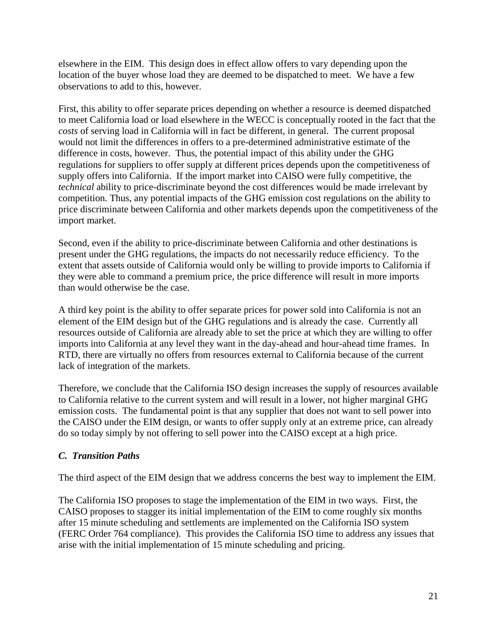elsewhere in the EIM. This design does in effect allow offers to vary depending upon the location of the buyer whose load they are deemed to be dispatched to meet. We have a few observations to add to this, however.

First, this ability to offer separate prices depending on whether a resource is deemed dispatched to meet California load or load elsewhere in the WECC is conceptually rooted in the fact that the *costs* of serving load in California will in fact be different, in general. The current proposal would not limit the differences in offers to a pre-determined administrative estimate of the difference in costs, however. Thus, the potential impact of this ability under the GHG regulations for suppliers to offer supply at different prices depends upon the competitiveness of supply offers into California. If the import market into CAISO were fully competitive, the *technical* ability to price-discriminate beyond the cost differences would be made irrelevant by competition. Thus, any potential impacts of the GHG emission cost regulations on the ability to price discriminate between California and other markets depends upon the competitiveness of the import market.

Second, even if the ability to price-discriminate between California and other destinations is present under the GHG regulations, the impacts do not necessarily reduce efficiency. To the extent that assets outside of California would only be willing to provide imports to California if they were able to command a premium price, the price difference will result in more imports than would otherwise be the case.

A third key point is the ability to offer separate prices for power sold into California is not an element of the EIM design but of the GHG regulations and is already the case. Currently all resources outside of California are already able to set the price at which they are willing to offer imports into California at any level they want in the day-ahead and hour-ahead time frames. In RTD, there are virtually no offers from resources external to California because of the current lack of integration of the markets.

Therefore, we conclude that the California ISO design increases the supply of resources available to California relative to the current system and will result in a lower, not higher marginal GHG emission costs. The fundamental point is that any supplier that does not want to sell power into the CAISO under the EIM design, or wants to offer supply only at an extreme price, can already do so today simply by not offering to sell power into the CAISO except at a high price.

# *C. Transition Paths*

The third aspect of the EIM design that we address concerns the best way to implement the EIM.

The California ISO proposes to stage the implementation of the EIM in two ways. First, the CAISO proposes to stagger its initial implementation of the EIM to come roughly six months after 15 minute scheduling and settlements are implemented on the California ISO system (FERC Order 764 compliance). This provides the California ISO time to address any issues that arise with the initial implementation of 15 minute scheduling and pricing.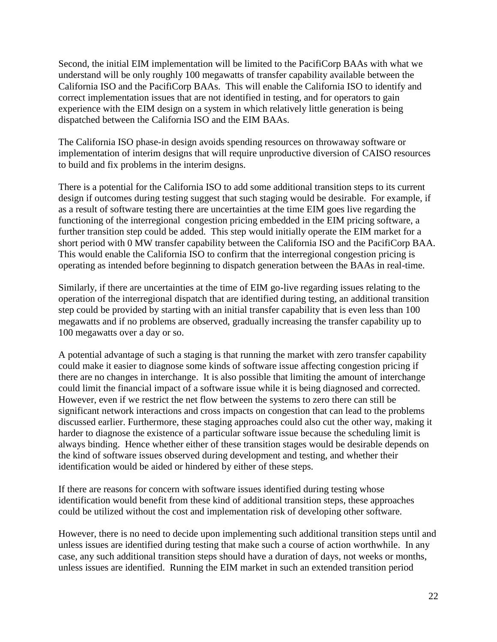Second, the initial EIM implementation will be limited to the PacifiCorp BAAs with what we understand will be only roughly 100 megawatts of transfer capability available between the California ISO and the PacifiCorp BAAs. This will enable the California ISO to identify and correct implementation issues that are not identified in testing, and for operators to gain experience with the EIM design on a system in which relatively little generation is being dispatched between the California ISO and the EIM BAAs.

The California ISO phase-in design avoids spending resources on throwaway software or implementation of interim designs that will require unproductive diversion of CAISO resources to build and fix problems in the interim designs.

There is a potential for the California ISO to add some additional transition steps to its current design if outcomes during testing suggest that such staging would be desirable. For example, if as a result of software testing there are uncertainties at the time EIM goes live regarding the functioning of the interregional congestion pricing embedded in the EIM pricing software, a further transition step could be added. This step would initially operate the EIM market for a short period with 0 MW transfer capability between the California ISO and the PacifiCorp BAA. This would enable the California ISO to confirm that the interregional congestion pricing is operating as intended before beginning to dispatch generation between the BAAs in real-time.

Similarly, if there are uncertainties at the time of EIM go-live regarding issues relating to the operation of the interregional dispatch that are identified during testing, an additional transition step could be provided by starting with an initial transfer capability that is even less than 100 megawatts and if no problems are observed, gradually increasing the transfer capability up to 100 megawatts over a day or so.

A potential advantage of such a staging is that running the market with zero transfer capability could make it easier to diagnose some kinds of software issue affecting congestion pricing if there are no changes in interchange. It is also possible that limiting the amount of interchange could limit the financial impact of a software issue while it is being diagnosed and corrected. However, even if we restrict the net flow between the systems to zero there can still be significant network interactions and cross impacts on congestion that can lead to the problems discussed earlier. Furthermore, these staging approaches could also cut the other way, making it harder to diagnose the existence of a particular software issue because the scheduling limit is always binding. Hence whether either of these transition stages would be desirable depends on the kind of software issues observed during development and testing, and whether their identification would be aided or hindered by either of these steps.

If there are reasons for concern with software issues identified during testing whose identification would benefit from these kind of additional transition steps, these approaches could be utilized without the cost and implementation risk of developing other software.

However, there is no need to decide upon implementing such additional transition steps until and unless issues are identified during testing that make such a course of action worthwhile. In any case, any such additional transition steps should have a duration of days, not weeks or months, unless issues are identified. Running the EIM market in such an extended transition period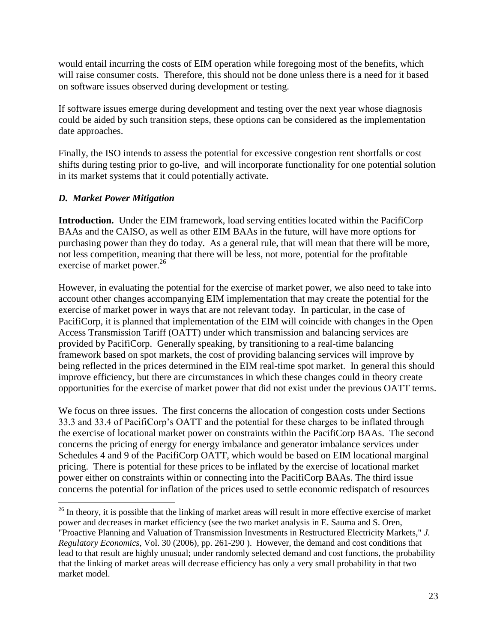would entail incurring the costs of EIM operation while foregoing most of the benefits, which will raise consumer costs. Therefore, this should not be done unless there is a need for it based on software issues observed during development or testing.

If software issues emerge during development and testing over the next year whose diagnosis could be aided by such transition steps, these options can be considered as the implementation date approaches.

Finally, the ISO intends to assess the potential for excessive congestion rent shortfalls or cost shifts during testing prior to go-live, and will incorporate functionality for one potential solution in its market systems that it could potentially activate.

## *D. Market Power Mitigation*

 $\overline{a}$ 

**Introduction.** Under the EIM framework, load serving entities located within the PacifiCorp BAAs and the CAISO, as well as other EIM BAAs in the future, will have more options for purchasing power than they do today. As a general rule, that will mean that there will be more, not less competition, meaning that there will be less, not more, potential for the profitable exercise of market power.<sup>26</sup>

However, in evaluating the potential for the exercise of market power, we also need to take into account other changes accompanying EIM implementation that may create the potential for the exercise of market power in ways that are not relevant today. In particular, in the case of PacifiCorp, it is planned that implementation of the EIM will coincide with changes in the Open Access Transmission Tariff (OATT) under which transmission and balancing services are provided by PacifiCorp. Generally speaking, by transitioning to a real-time balancing framework based on spot markets, the cost of providing balancing services will improve by being reflected in the prices determined in the EIM real-time spot market. In general this should improve efficiency, but there are circumstances in which these changes could in theory create opportunities for the exercise of market power that did not exist under the previous OATT terms.

We focus on three issues. The first concerns the allocation of congestion costs under Sections 33.3 and 33.4 of PacifiCorp's OATT and the potential for these charges to be inflated through the exercise of locational market power on constraints within the PacifiCorp BAAs. The second concerns the pricing of energy for energy imbalance and generator imbalance services under Schedules 4 and 9 of the PacifiCorp OATT, which would be based on EIM locational marginal pricing. There is potential for these prices to be inflated by the exercise of locational market power either on constraints within or connecting into the PacifiCorp BAAs. The third issue concerns the potential for inflation of the prices used to settle economic redispatch of resources

 $26$  In theory, it is possible that the linking of market areas will result in more effective exercise of market power and decreases in market efficiency (see the two market analysis in E. Sauma and S. Oren, "Proactive Planning and Valuation of Transmission Investments in Restructured Electricity Markets," *J. Regulatory Economics*, Vol. 30 (2006), pp. 261-290 ). However, the demand and cost conditions that lead to that result are highly unusual; under randomly selected demand and cost functions, the probability that the linking of market areas will decrease efficiency has only a very small probability in that two market model.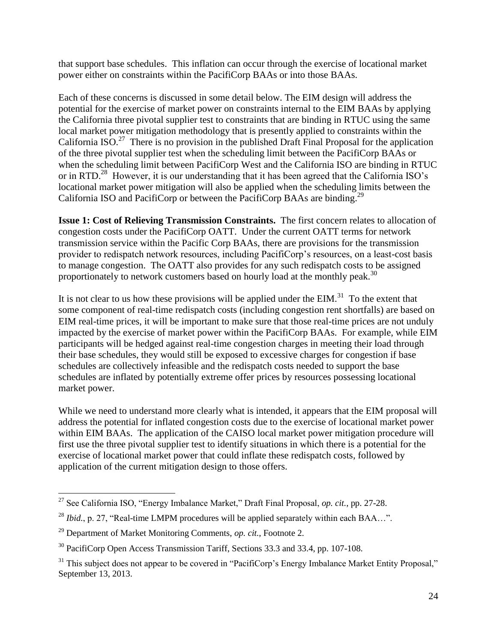that support base schedules. This inflation can occur through the exercise of locational market power either on constraints within the PacifiCorp BAAs or into those BAAs.

Each of these concerns is discussed in some detail below. The EIM design will address the potential for the exercise of market power on constraints internal to the EIM BAAs by applying the California three pivotal supplier test to constraints that are binding in RTUC using the same local market power mitigation methodology that is presently applied to constraints within the California ISO.<sup>27</sup> There is no provision in the published Draft Final Proposal for the application of the three pivotal supplier test when the scheduling limit between the PacifiCorp BAAs or when the scheduling limit between PacifiCorp West and the California ISO are binding in RTUC or in RTD.<sup>28</sup> However, it is our understanding that it has been agreed that the California ISO's locational market power mitigation will also be applied when the scheduling limits between the California ISO and PacifiCorp or between the PacifiCorp BAAs are binding.<sup>29</sup>

**Issue 1: Cost of Relieving Transmission Constraints.** The first concern relates to allocation of congestion costs under the PacifiCorp OATT. Under the current OATT terms for network transmission service within the Pacific Corp BAAs, there are provisions for the transmission provider to redispatch network resources, including PacifiCorp's resources, on a least-cost basis to manage congestion. The OATT also provides for any such redispatch costs to be assigned proportionately to network customers based on hourly load at the monthly peak.<sup>30</sup>

It is not clear to us how these provisions will be applied under the EIM.<sup>31</sup> To the extent that some component of real-time redispatch costs (including congestion rent shortfalls) are based on EIM real-time prices, it will be important to make sure that those real-time prices are not unduly impacted by the exercise of market power within the PacifiCorp BAAs. For example, while EIM participants will be hedged against real-time congestion charges in meeting their load through their base schedules, they would still be exposed to excessive charges for congestion if base schedules are collectively infeasible and the redispatch costs needed to support the base schedules are inflated by potentially extreme offer prices by resources possessing locational market power.

While we need to understand more clearly what is intended, it appears that the EIM proposal will address the potential for inflated congestion costs due to the exercise of locational market power within EIM BAAs. The application of the CAISO local market power mitigation procedure will first use the three pivotal supplier test to identify situations in which there is a potential for the exercise of locational market power that could inflate these redispatch costs, followed by application of the current mitigation design to those offers.

 $\overline{a}$ <sup>27</sup> See California ISO, "Energy Imbalance Market," Draft Final Proposal, *op. cit.*, pp. 27-28.

<sup>&</sup>lt;sup>28</sup> *Ibid.*, p. 27, "Real-time LMPM procedures will be applied separately within each BAA...".

<sup>29</sup> Department of Market Monitoring Comments, *op. cit.*, Footnote 2.

<sup>&</sup>lt;sup>30</sup> PacifiCorp Open Access Transmission Tariff, Sections 33.3 and 33.4, pp. 107-108.

<sup>&</sup>lt;sup>31</sup> This subject does not appear to be covered in "PacifiCorp's Energy Imbalance Market Entity Proposal," September 13, 2013.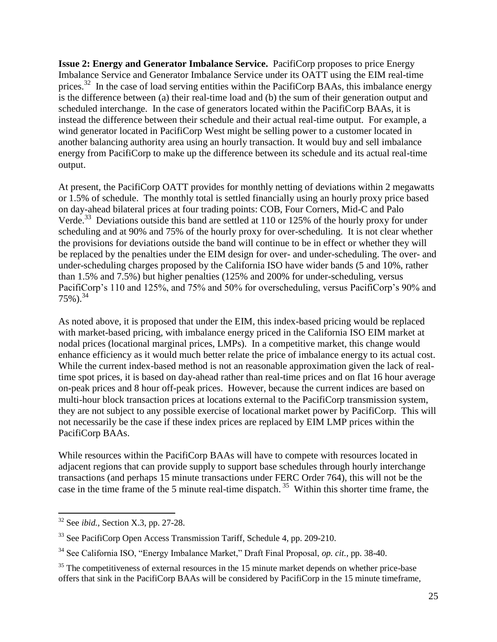**Issue 2: Energy and Generator Imbalance Service.** PacifiCorp proposes to price Energy Imbalance Service and Generator Imbalance Service under its OATT using the EIM real-time prices.<sup>32</sup> In the case of load serving entities within the PacifiCorp BAAs, this imbalance energy is the difference between (a) their real-time load and (b) the sum of their generation output and scheduled interchange. In the case of generators located within the PacifiCorp BAAs, it is instead the difference between their schedule and their actual real-time output. For example, a wind generator located in PacifiCorp West might be selling power to a customer located in another balancing authority area using an hourly transaction. It would buy and sell imbalance energy from PacifiCorp to make up the difference between its schedule and its actual real-time output.

At present, the PacifiCorp OATT provides for monthly netting of deviations within 2 megawatts or 1.5% of schedule. The monthly total is settled financially using an hourly proxy price based on day-ahead bilateral prices at four trading points: COB, Four Corners, Mid-C and Palo Verde.<sup>33</sup> Deviations outside this band are settled at 110 or 125% of the hourly proxy for under scheduling and at 90% and 75% of the hourly proxy for over-scheduling. It is not clear whether the provisions for deviations outside the band will continue to be in effect or whether they will be replaced by the penalties under the EIM design for over- and under-scheduling. The over- and under-scheduling charges proposed by the California ISO have wider bands (5 and 10%, rather than 1.5% and 7.5%) but higher penalties (125% and 200% for under-scheduling, versus PacifiCorp's 110 and 125%, and 75% and 50% for overscheduling, versus PacifiCorp's 90% and  $75\%$ ).<sup>34</sup>

As noted above, it is proposed that under the EIM, this index-based pricing would be replaced with market-based pricing, with imbalance energy priced in the California ISO EIM market at nodal prices (locational marginal prices, LMPs). In a competitive market, this change would enhance efficiency as it would much better relate the price of imbalance energy to its actual cost. While the current index-based method is not an reasonable approximation given the lack of realtime spot prices, it is based on day-ahead rather than real-time prices and on flat 16 hour average on-peak prices and 8 hour off-peak prices. However, because the current indices are based on multi-hour block transaction prices at locations external to the PacifiCorp transmission system, they are not subject to any possible exercise of locational market power by PacifiCorp. This will not necessarily be the case if these index prices are replaced by EIM LMP prices within the PacifiCorp BAAs.

While resources within the PacifiCorp BAAs will have to compete with resources located in adjacent regions that can provide supply to support base schedules through hourly interchange transactions (and perhaps 15 minute transactions under FERC Order 764), this will not be the case in the time frame of the 5 minute real-time dispatch.<sup>35</sup> Within this shorter time frame, the

<sup>32</sup> See *ibid.,* Section X.3, pp. 27-28.

 $33$  See PacifiCorp Open Access Transmission Tariff, Schedule 4, pp. 209-210.

<sup>34</sup> See California ISO, "Energy Imbalance Market," Draft Final Proposal, *op. cit.*, pp. 38-40.

<sup>&</sup>lt;sup>35</sup> The competitiveness of external resources in the 15 minute market depends on whether price-base offers that sink in the PacifiCorp BAAs will be considered by PacifiCorp in the 15 minute timeframe,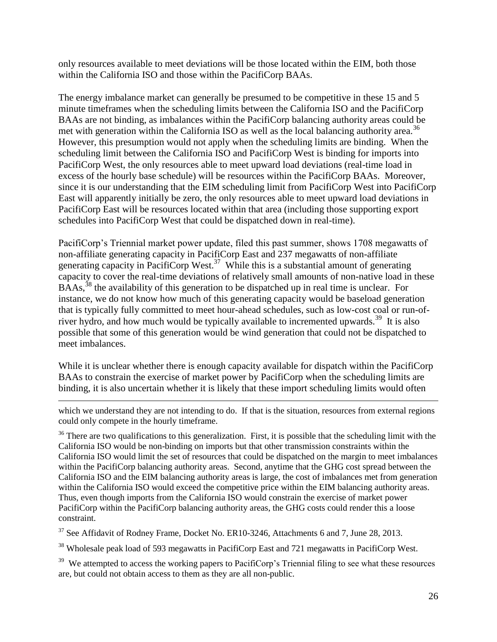only resources available to meet deviations will be those located within the EIM, both those within the California ISO and those within the PacifiCorp BAAs.

The energy imbalance market can generally be presumed to be competitive in these 15 and 5 minute timeframes when the scheduling limits between the California ISO and the PacifiCorp BAAs are not binding, as imbalances within the PacifiCorp balancing authority areas could be met with generation within the California ISO as well as the local balancing authority area.<sup>36</sup> However, this presumption would not apply when the scheduling limits are binding. When the scheduling limit between the California ISO and PacifiCorp West is binding for imports into PacifiCorp West, the only resources able to meet upward load deviations (real-time load in excess of the hourly base schedule) will be resources within the PacifiCorp BAAs. Moreover, since it is our understanding that the EIM scheduling limit from PacifiCorp West into PacifiCorp East will apparently initially be zero, the only resources able to meet upward load deviations in PacifiCorp East will be resources located within that area (including those supporting export schedules into PacifiCorp West that could be dispatched down in real-time).

PacifiCorp's Triennial market power update, filed this past summer, shows 1708 megawatts of non-affiliate generating capacity in PacifiCorp East and 237 megawatts of non-affiliate generating capacity in PacifiCorp West.<sup>37</sup> While this is a substantial amount of generating capacity to cover the real-time deviations of relatively small amounts of non-native load in these  $B\overline{A}As$ ,<sup>38</sup> the availability of this generation to be dispatched up in real time is unclear. For instance, we do not know how much of this generating capacity would be baseload generation that is typically fully committed to meet hour-ahead schedules, such as low-cost coal or run-ofriver hydro, and how much would be typically available to incremented upwards.<sup>39</sup> It is also possible that some of this generation would be wind generation that could not be dispatched to meet imbalances.

While it is unclear whether there is enough capacity available for dispatch within the PacifiCorp BAAs to constrain the exercise of market power by PacifiCorp when the scheduling limits are binding, it is also uncertain whether it is likely that these import scheduling limits would often

which we understand they are not intending to do. If that is the situation, resources from external regions could only compete in the hourly timeframe.

 $\overline{a}$ 

 $36$  There are two qualifications to this generalization. First, it is possible that the scheduling limit with the California ISO would be non-binding on imports but that other transmission constraints within the California ISO would limit the set of resources that could be dispatched on the margin to meet imbalances within the PacifiCorp balancing authority areas. Second, anytime that the GHG cost spread between the California ISO and the EIM balancing authority areas is large, the cost of imbalances met from generation within the California ISO would exceed the competitive price within the EIM balancing authority areas. Thus, even though imports from the California ISO would constrain the exercise of market power PacifiCorp within the PacifiCorp balancing authority areas, the GHG costs could render this a loose constraint.

<sup>37</sup> See Affidavit of Rodney Frame, Docket No. ER10-3246, Attachments 6 and 7, June 28, 2013.

<sup>38</sup> Wholesale peak load of 593 megawatts in PacifiCorp East and 721 megawatts in PacifiCorp West.

<sup>39</sup> We attempted to access the working papers to PacifiCorp's Triennial filing to see what these resources are, but could not obtain access to them as they are all non-public.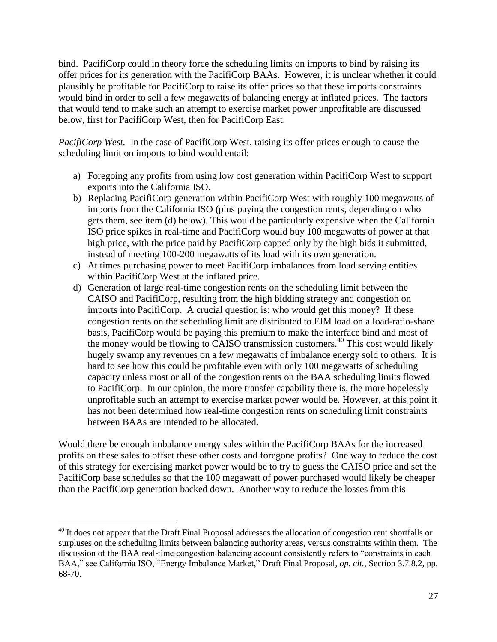bind. PacifiCorp could in theory force the scheduling limits on imports to bind by raising its offer prices for its generation with the PacifiCorp BAAs. However, it is unclear whether it could plausibly be profitable for PacifiCorp to raise its offer prices so that these imports constraints would bind in order to sell a few megawatts of balancing energy at inflated prices. The factors that would tend to make such an attempt to exercise market power unprofitable are discussed below, first for PacifiCorp West, then for PacifiCorp East.

*PacifiCorp West.*In the case of PacifiCorp West, raising its offer prices enough to cause the scheduling limit on imports to bind would entail:

- a) Foregoing any profits from using low cost generation within PacifiCorp West to support exports into the California ISO.
- b) Replacing PacifiCorp generation within PacifiCorp West with roughly 100 megawatts of imports from the California ISO (plus paying the congestion rents, depending on who gets them, see item (d) below). This would be particularly expensive when the California ISO price spikes in real-time and PacifiCorp would buy 100 megawatts of power at that high price, with the price paid by PacifiCorp capped only by the high bids it submitted, instead of meeting 100-200 megawatts of its load with its own generation.
- c) At times purchasing power to meet PacifiCorp imbalances from load serving entities within PacifiCorp West at the inflated price.
- d) Generation of large real-time congestion rents on the scheduling limit between the CAISO and PacifiCorp, resulting from the high bidding strategy and congestion on imports into PacifiCorp. A crucial question is: who would get this money? If these congestion rents on the scheduling limit are distributed to EIM load on a load-ratio-share basis, PacifiCorp would be paying this premium to make the interface bind and most of the money would be flowing to CAISO transmission customers.<sup>40</sup> This cost would likely hugely swamp any revenues on a few megawatts of imbalance energy sold to others. It is hard to see how this could be profitable even with only 100 megawatts of scheduling capacity unless most or all of the congestion rents on the BAA scheduling limits flowed to PacifiCorp. In our opinion, the more transfer capability there is, the more hopelessly unprofitable such an attempt to exercise market power would be. However, at this point it has not been determined how real-time congestion rents on scheduling limit constraints between BAAs are intended to be allocated.

Would there be enough imbalance energy sales within the PacifiCorp BAAs for the increased profits on these sales to offset these other costs and foregone profits? One way to reduce the cost of this strategy for exercising market power would be to try to guess the CAISO price and set the PacifiCorp base schedules so that the 100 megawatt of power purchased would likely be cheaper than the PacifiCorp generation backed down. Another way to reduce the losses from this

<sup>&</sup>lt;sup>40</sup> It does not appear that the Draft Final Proposal addresses the allocation of congestion rent shortfalls or surpluses on the scheduling limits between balancing authority areas, versus constraints within them. The discussion of the BAA real-time congestion balancing account consistently refers to "constraints in each BAA," see California ISO, "Energy Imbalance Market," Draft Final Proposal, *op. cit.*, Section 3.7.8.2, pp. 68-70.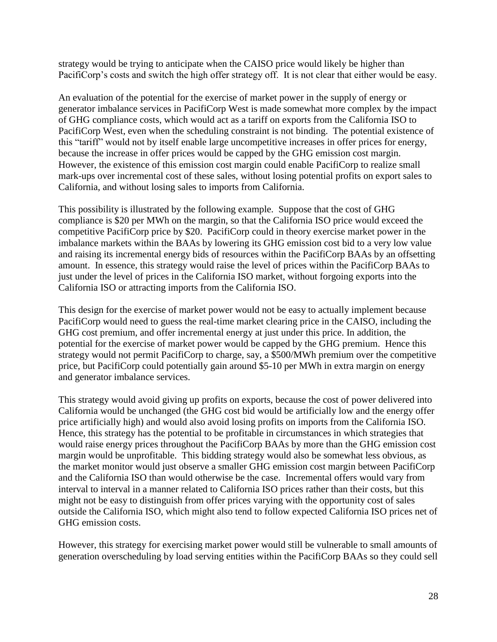strategy would be trying to anticipate when the CAISO price would likely be higher than PacifiCorp's costs and switch the high offer strategy off. It is not clear that either would be easy.

An evaluation of the potential for the exercise of market power in the supply of energy or generator imbalance services in PacifiCorp West is made somewhat more complex by the impact of GHG compliance costs, which would act as a tariff on exports from the California ISO to PacifiCorp West, even when the scheduling constraint is not binding. The potential existence of this "tariff" would not by itself enable large uncompetitive increases in offer prices for energy, because the increase in offer prices would be capped by the GHG emission cost margin. However, the existence of this emission cost margin could enable PacifiCorp to realize small mark-ups over incremental cost of these sales, without losing potential profits on export sales to California, and without losing sales to imports from California.

This possibility is illustrated by the following example. Suppose that the cost of GHG compliance is \$20 per MWh on the margin, so that the California ISO price would exceed the competitive PacifiCorp price by \$20. PacifiCorp could in theory exercise market power in the imbalance markets within the BAAs by lowering its GHG emission cost bid to a very low value and raising its incremental energy bids of resources within the PacifiCorp BAAs by an offsetting amount. In essence, this strategy would raise the level of prices within the PacifiCorp BAAs to just under the level of prices in the California ISO market, without forgoing exports into the California ISO or attracting imports from the California ISO.

This design for the exercise of market power would not be easy to actually implement because PacifiCorp would need to guess the real-time market clearing price in the CAISO, including the GHG cost premium, and offer incremental energy at just under this price. In addition, the potential for the exercise of market power would be capped by the GHG premium. Hence this strategy would not permit PacifiCorp to charge, say, a \$500/MWh premium over the competitive price, but PacifiCorp could potentially gain around \$5-10 per MWh in extra margin on energy and generator imbalance services.

This strategy would avoid giving up profits on exports, because the cost of power delivered into California would be unchanged (the GHG cost bid would be artificially low and the energy offer price artificially high) and would also avoid losing profits on imports from the California ISO. Hence, this strategy has the potential to be profitable in circumstances in which strategies that would raise energy prices throughout the PacifiCorp BAAs by more than the GHG emission cost margin would be unprofitable. This bidding strategy would also be somewhat less obvious, as the market monitor would just observe a smaller GHG emission cost margin between PacifiCorp and the California ISO than would otherwise be the case. Incremental offers would vary from interval to interval in a manner related to California ISO prices rather than their costs, but this might not be easy to distinguish from offer prices varying with the opportunity cost of sales outside the California ISO, which might also tend to follow expected California ISO prices net of GHG emission costs.

However, this strategy for exercising market power would still be vulnerable to small amounts of generation overscheduling by load serving entities within the PacifiCorp BAAs so they could sell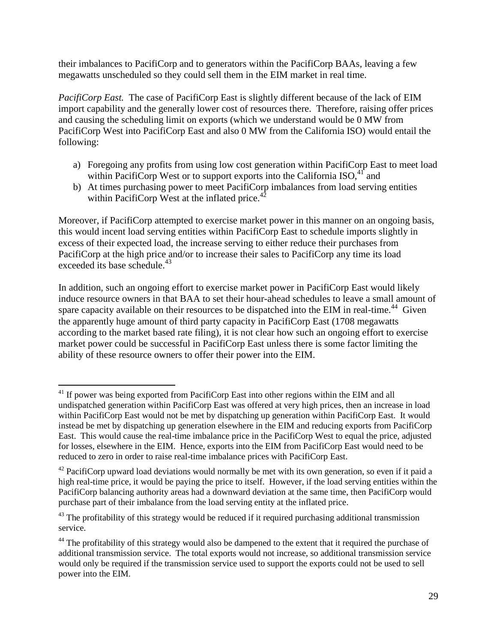their imbalances to PacifiCorp and to generators within the PacifiCorp BAAs, leaving a few megawatts unscheduled so they could sell them in the EIM market in real time.

*PacifiCorp East.* The case of PacifiCorp East is slightly different because of the lack of EIM import capability and the generally lower cost of resources there. Therefore, raising offer prices and causing the scheduling limit on exports (which we understand would be 0 MW from PacifiCorp West into PacifiCorp East and also 0 MW from the California ISO) would entail the following:

- a) Foregoing any profits from using low cost generation within PacifiCorp East to meet load within PacifiCorp West or to support exports into the California  $ISO^{4}$  and
- b) At times purchasing power to meet PacifiCorp imbalances from load serving entities within PacifiCorp West at the inflated price. $42$

Moreover, if PacifiCorp attempted to exercise market power in this manner on an ongoing basis, this would incent load serving entities within PacifiCorp East to schedule imports slightly in excess of their expected load, the increase serving to either reduce their purchases from PacifiCorp at the high price and/or to increase their sales to PacifiCorp any time its load exceeded its base schedule.<sup>43</sup>

In addition, such an ongoing effort to exercise market power in PacifiCorp East would likely induce resource owners in that BAA to set their hour-ahead schedules to leave a small amount of spare capacity available on their resources to be dispatched into the EIM in real-time.<sup>44</sup> Given the apparently huge amount of third party capacity in PacifiCorp East (1708 megawatts according to the market based rate filing), it is not clear how such an ongoing effort to exercise market power could be successful in PacifiCorp East unless there is some factor limiting the ability of these resource owners to offer their power into the EIM.

 $\overline{a}$ <sup>41</sup> If power was being exported from PacifiCorp East into other regions within the EIM and all undispatched generation within PacifiCorp East was offered at very high prices, then an increase in load within PacifiCorp East would not be met by dispatching up generation within PacifiCorp East. It would instead be met by dispatching up generation elsewhere in the EIM and reducing exports from PacifiCorp East. This would cause the real-time imbalance price in the PacifiCorp West to equal the price, adjusted for losses, elsewhere in the EIM. Hence, exports into the EIM from PacifiCorp East would need to be reduced to zero in order to raise real-time imbalance prices with PacifiCorp East.

 $42$  PacifiCorp upward load deviations would normally be met with its own generation, so even if it paid a high real-time price, it would be paying the price to itself. However, if the load serving entities within the PacifiCorp balancing authority areas had a downward deviation at the same time, then PacifiCorp would purchase part of their imbalance from the load serving entity at the inflated price.

<sup>&</sup>lt;sup>43</sup> The profitability of this strategy would be reduced if it required purchasing additional transmission service.

<sup>&</sup>lt;sup>44</sup> The profitability of this strategy would also be dampened to the extent that it required the purchase of additional transmission service. The total exports would not increase, so additional transmission service would only be required if the transmission service used to support the exports could not be used to sell power into the EIM.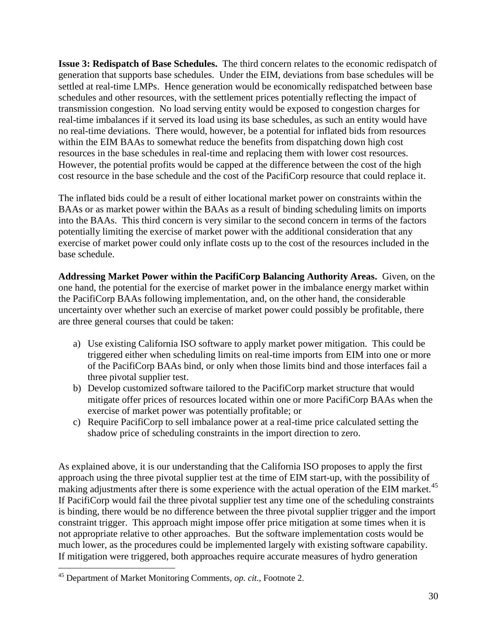**Issue 3: Redispatch of Base Schedules.** The third concern relates to the economic redispatch of generation that supports base schedules. Under the EIM, deviations from base schedules will be settled at real-time LMPs. Hence generation would be economically redispatched between base schedules and other resources, with the settlement prices potentially reflecting the impact of transmission congestion. No load serving entity would be exposed to congestion charges for real-time imbalances if it served its load using its base schedules, as such an entity would have no real-time deviations. There would, however, be a potential for inflated bids from resources within the EIM BAAs to somewhat reduce the benefits from dispatching down high cost resources in the base schedules in real-time and replacing them with lower cost resources. However, the potential profits would be capped at the difference between the cost of the high cost resource in the base schedule and the cost of the PacifiCorp resource that could replace it.

The inflated bids could be a result of either locational market power on constraints within the BAAs or as market power within the BAAs as a result of binding scheduling limits on imports into the BAAs. This third concern is very similar to the second concern in terms of the factors potentially limiting the exercise of market power with the additional consideration that any exercise of market power could only inflate costs up to the cost of the resources included in the base schedule.

**Addressing Market Power within the PacifiCorp Balancing Authority Areas.** Given, on the one hand, the potential for the exercise of market power in the imbalance energy market within the PacifiCorp BAAs following implementation, and, on the other hand, the considerable uncertainty over whether such an exercise of market power could possibly be profitable, there are three general courses that could be taken:

- a) Use existing California ISO software to apply market power mitigation. This could be triggered either when scheduling limits on real-time imports from EIM into one or more of the PacifiCorp BAAs bind, or only when those limits bind and those interfaces fail a three pivotal supplier test.
- b) Develop customized software tailored to the PacifiCorp market structure that would mitigate offer prices of resources located within one or more PacifiCorp BAAs when the exercise of market power was potentially profitable; or
- c) Require PacifiCorp to sell imbalance power at a real-time price calculated setting the shadow price of scheduling constraints in the import direction to zero.

As explained above, it is our understanding that the California ISO proposes to apply the first approach using the three pivotal supplier test at the time of EIM start-up, with the possibility of making adjustments after there is some experience with the actual operation of the EIM market.<sup>45</sup> If PacifiCorp would fail the three pivotal supplier test any time one of the scheduling constraints is binding, there would be no difference between the three pivotal supplier trigger and the import constraint trigger. This approach might impose offer price mitigation at some times when it is not appropriate relative to other approaches. But the software implementation costs would be much lower, as the procedures could be implemented largely with existing software capability. If mitigation were triggered, both approaches require accurate measures of hydro generation

<sup>45</sup> Department of Market Monitoring Comments, *op. cit.,* Footnote 2.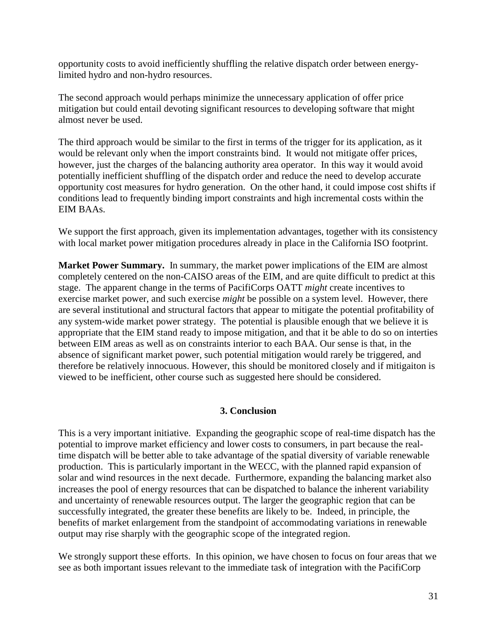opportunity costs to avoid inefficiently shuffling the relative dispatch order between energylimited hydro and non-hydro resources.

The second approach would perhaps minimize the unnecessary application of offer price mitigation but could entail devoting significant resources to developing software that might almost never be used.

The third approach would be similar to the first in terms of the trigger for its application, as it would be relevant only when the import constraints bind. It would not mitigate offer prices, however, just the charges of the balancing authority area operator. In this way it would avoid potentially inefficient shuffling of the dispatch order and reduce the need to develop accurate opportunity cost measures for hydro generation. On the other hand, it could impose cost shifts if conditions lead to frequently binding import constraints and high incremental costs within the EIM BAAs.

We support the first approach, given its implementation advantages, together with its consistency with local market power mitigation procedures already in place in the California ISO footprint.

**Market Power Summary.** In summary, the market power implications of the EIM are almost completely centered on the non-CAISO areas of the EIM, and are quite difficult to predict at this stage. The apparent change in the terms of PacifiCorps OATT *might* create incentives to exercise market power, and such exercise *might* be possible on a system level. However, there are several institutional and structural factors that appear to mitigate the potential profitability of any system-wide market power strategy. The potential is plausible enough that we believe it is appropriate that the EIM stand ready to impose mitigation, and that it be able to do so on interties between EIM areas as well as on constraints interior to each BAA. Our sense is that, in the absence of significant market power, such potential mitigation would rarely be triggered, and therefore be relatively innocuous. However, this should be monitored closely and if mitigaiton is viewed to be inefficient, other course such as suggested here should be considered.

#### **3. Conclusion**

This is a very important initiative. Expanding the geographic scope of real-time dispatch has the potential to improve market efficiency and lower costs to consumers, in part because the realtime dispatch will be better able to take advantage of the spatial diversity of variable renewable production. This is particularly important in the WECC, with the planned rapid expansion of solar and wind resources in the next decade. Furthermore, expanding the balancing market also increases the pool of energy resources that can be dispatched to balance the inherent variability and uncertainty of renewable resources output. The larger the geographic region that can be successfully integrated, the greater these benefits are likely to be. Indeed, in principle, the benefits of market enlargement from the standpoint of accommodating variations in renewable output may rise sharply with the geographic scope of the integrated region.

We strongly support these efforts. In this opinion, we have chosen to focus on four areas that we see as both important issues relevant to the immediate task of integration with the PacifiCorp